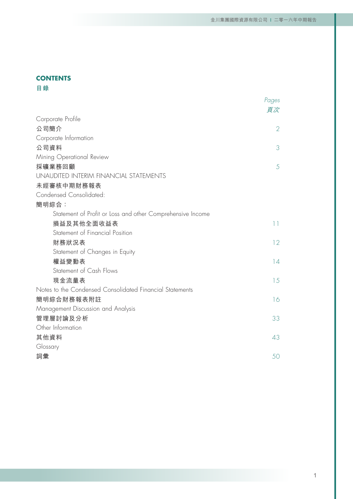# **CONTENTS**

**目錄**

|                                                            | Pages           |
|------------------------------------------------------------|-----------------|
| Corporate Profile                                          | 頁次              |
| 公司簡介                                                       | $\overline{2}$  |
| Corporate Information                                      |                 |
| 公司資料                                                       | 3               |
| Mining Operational Review                                  |                 |
| 採礦業務回顧                                                     | 5               |
| UNAUDITED INTERIM FINANCIAL STATEMENTS                     |                 |
| 未經審核中期財務報表                                                 |                 |
| Condensed Consolidated:                                    |                 |
| 簡明綜合:                                                      |                 |
| Statement of Profit or Loss and other Comprehensive Income |                 |
| 損益及其他全面收益表                                                 | $\overline{11}$ |
| Statement of Financial Position                            |                 |
| 財務狀況表                                                      | 12              |
| Statement of Changes in Equity                             |                 |
| 權益變動表                                                      | 14              |
| Statement of Cash Flows                                    |                 |
| 現金流量表                                                      | 15              |
| Notes to the Condensed Consolidated Financial Statements   |                 |
| 簡明綜合財務報表附註                                                 | 16              |
| Management Discussion and Analysis                         |                 |
| 管理層討論及分析                                                   | 33              |
| Other Information                                          |                 |
| 其他資料                                                       | 43              |
| Glossary                                                   |                 |
| 詞彙                                                         | 50              |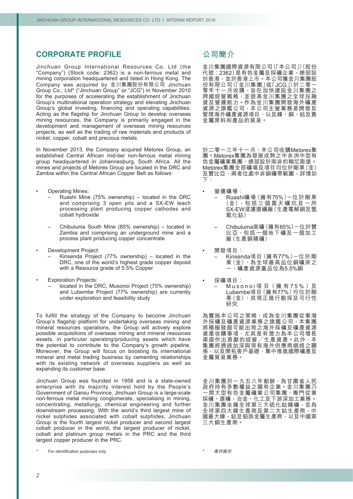# **CORPORATE PROFILE**

Jinchuan Group International Resources Co. Ltd (the "Company") (Stock code: 2362) is a non-ferrous metal and mining corporation headquartered and listed in Hong Kong. The Company was acquired by 金川集團股份有限公司 Jinchuan Group Co., Ltd\* ("Jinchuan Group" or "JCG") in November 2010 for the purposes of accelerating the establishment of Jinchuan Group's multinational operation strategy and elevating Jinchuan Group's global investing, financing and operating capabilities. Acting as the flagship for Jinchuan Group to develop overseas mining resources, the Company is primarily engaged in the development and management of overseas mining resources projects, as well as the trading of raw materials and products of nickel, copper, cobalt and precious metals.

In November 2013, the Company acquired Metorex Group, an established Central African mid-tier non-ferrous metal mining group headquartered in Johannesburg, South Africa. All the mines and projects of Metorex Group are located in the DRC and Zambia within the Central African Copper Belt as follows:

- **Operating Mines:** 
	- Ruashi Mine (75% ownership) located in the DRC and comprising 3 open pits and a SX-EW leach processing plant producing copper cathodes and cobalt hydroxide
	- Chibuluma South Mine (85% ownership) located in Zambia and comprising an underground mine and a process plant producing copper concentrate
- Development Project:
	- Kinsenda Project (77% ownership) located in the DRC, one of the world's highest grade copper deposit with a Resource grade of 5.5% Copper
- **Exploration Projects:** 
	- located in the DRC, Musonoi Project (75% ownership) and Lubembe Project (77% ownership) are currently under exploration and feasibility study

To fulfill the strategy of the Company to become Jinchuan Group's flagship platform for undertaking overseas mining and mineral resources operations, the Group will actively explore possible acquisitions of overseas mining and mineral resources assets, in particular operating/producing assets which have the potential to contribute to the Company's growth pipeline. Moreover, the Group will focus on boosting its international mineral and metal trading business by cementing relationships with its existing network of overseas suppliers as well as expanding its customer base.

Jinchuan Group was founded in 1958 and is a state-owned enterprise with its majority interest held by the People's Government of Gansu Province. Jinchuan Group is a large-scale non-ferrous metal mining conglomerate, specialising in mining, concentrating, metallurgy, chemical engineering and further downstream processing. With the world's third largest mine of nickel sulphides associated with cobalt sulphides, Jinchuan Group is the fourth largest nickel producer and second largest cobalt producer in the world, the largest producer of nickel, cobalt and platinum group metals in the PRC and the third largest copper producer in the PRC.

# **公司簡介**

金川集團國際資源有限公司(「本公司」)(股份 代號:2362)是有色金屬及採礦企業,總部設 於香港,並於香港上市。本公司獲金川集團股 份有限公司(「金川集團」或「JCG」)於二零一 **零年十一月收購,旨在加快建設金川集團之** 跨國經營戰略,並提高金川集團之全球投融 資及營運能力。作為金川集團開發海外礦產 資源之旗艦公司,本公司主營業務是開發及 管理海外礦產資源項目,以及鎳、銅、鈷及貴 金屬原料和產品的貿易。

於二零一三年十一月,本公司收購Metorex集 團。Metorex集團為發展成熟之中非洲中型有 色金屬礦業集團,總部設於南非約翰尼斯堡。 Metorex集團全部礦場及項目均位於剛果(金) 及贊比亞,兩者位處中非銅礦帶範圍,詳情如 下:

- 營運礦場:
	- Ruashi礦場(擁有75%)-位於剛果 (金),包 括 三 個 露 天 礦 坑 及 一 所 SX-EW浸濾選礦廠(生產電解銅及氫 氧化鈷)
	- Chibuluma南礦(擁有85%)-位於贊 比亞,包括一個地下礦及一個加工 廠(生產銅精礦)
	- 開發項目: – Kinsenda項目(擁有77%)-位於剛 果(金),為全球最高品位銅礦床之 一,礦產資源量品位為5.5%銅
- 探礦項目: — Musonoi 項 目( 擁 有 7 5 % )及 Lubembe項目(擁有77%)均位於剛 果(金), 其現正進行勘探及可行性 研究

為實施本公司之策略,成為金川集團從事海 外採礦及礦產資源業務之旗艦公司,本集團 將積極發掘可能出現之海外採礦及礦產資源 資產收購事項,尤其是有潛力為本公司增長 渠道作出貢獻的經營╱生產資產。此外,本 **朱建**廿百条燃粉經冒/王生美生<br>集團將通過加深與現有海外供應商網絡之關 係,以及開拓客戶基礎,集中推進國際礦產及 金屬貿易業務。

金川集團於一九五八年創辦,為甘肅省人民 政府持有多數權益之國有企業。金川集團乃 一間大型有色金屬礦業公司集團,專門從事 採礦、選礦、冶金、化工及下游深加工業務。 金川集團坐擁全球第三大硫化鈷鎳礦,並為 全球第四大鎳生產商及第二大鈷生產商、中 國最大鎳、鈷及鉑族金屬生產商,以及中國第 三大銅生產商。

僅供識別

\*

*<sup>\*</sup> For identification purposes only*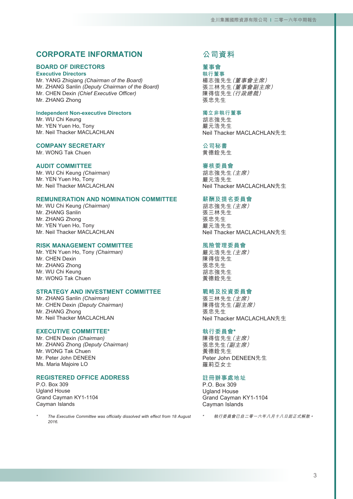# **CORPORATE INFORMATION**

# **BOARD OF DIRECTORS**

**Executive Directors**

Mr. YANG Zhiqiang *(Chairman of the Board)* Mr. ZHANG Sanlin *(Deputy Chairman of the Board)* Mr. CHEN Dexin *(Chief Executive Officer)* Mr. ZHANG Zhong

#### **Independent Non-executive Directors**

Mr. WU Chi Keung Mr. YEN Yuen Ho, Tony Mr. Neil Thacker MACLACHLAN

#### **COMPANY SECRETARY**

Mr. WONG Tak Chuen

### **AUDIT COMMITTEE**

Mr. WU Chi Keung *(Chairman)* Mr. YEN Yuen Ho, Tony Mr. Neil Thacker MACLACHLAN

# **REMUNERATION AND NOMINATION COMMITTEE**

Mr. WU Chi Keung *(Chairman)* Mr. ZHANG Sanlin Mr. ZHANG Zhong Mr. YEN Yuen Ho, Tony Mr. Neil Thacker MACLACHLAN

### **RISK MANAGEMENT COMMITTEE**

Mr. YEN Yuen Ho, Tony *(Chairman)* Mr. CHEN Dexin Mr. ZHANG Zhong Mr. WU Chi Keung Mr. WONG Tak Chuen

### **STRATEGY AND INVESTMENT COMMITTEE**

Mr. ZHANG Sanlin *(Chairman)* Mr. CHEN Dexin *(Deputy Chairman)* Mr. ZHANG Zhong Mr. Neil Thacker MACLACHLAN

#### **EXECUTIVE COMMITTEE\***

Mr. CHEN Dexin *(Chairman)* Mr. ZHANG Zhong *(Deputy Chairman)* Mr. WONG Tak Chuen Mr. Peter John DENEEN Ms. Maria Majoire LO

### **REGISTERED OFFICE ADDRESS**

P.O. Box 309 Ugland House Grand Cayman KY1-1104 Cayman Islands

*\* The Executive Committee was officially dissolved with effect from 18 August 2016.*

# **公司資料**

**董事會 執行董事**

楊志強先生(董事會主席) 張三林先生(董事會副主席) 陳得信先生(行政總裁) 張忠先生

#### **獨立非執行董事**

胡志強先生 嚴元浩先生 Neil Thacker MACLACHLAN先生

**公司秘書** 黄德銓先生

### **審核委員會**

胡志強先生(主席) 嚴元浩先生 Neil Thacker MACLACHLAN先生

# **薪酬及提名委員會**

胡志強先生(主席) 張三林先生 張忠先生 嚴元浩先生 Neil Thacker MACLACHLAN先生

### **風險管理委員會**

嚴元浩先生(主席) 陳得信先生 張忠先生 胡志強先生 黃德銓先生

#### **戰略及投資委員會**

張三林先生(主席) 陳得信先生(副主席) 張忠先生 Neil Thacker MACLACHLAN先生

#### **執行委員會\***

陳得信先生(主席) 張忠先生(副主席) 黃德銓先生 Peter John DENEEN先生 羅莉亞女士

#### **註冊辦事處地址**

P.O. Box 309 Ugland House Grand Cayman KY1-1104 Cayman Islands

\*執行委員會已自二零一六年八月十八日起正式解散。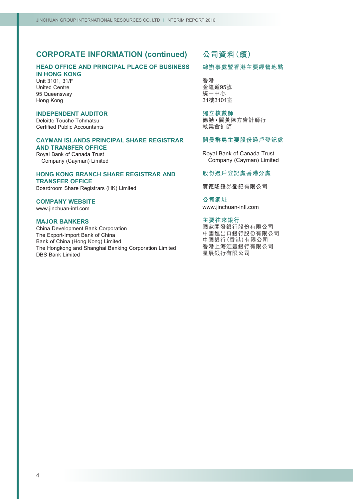# **CORPORATE INFORMATION (continued)**

### **HEAD OFFICE AND PRINCIPAL PLACE OF BUSINESS IN HONG KONG**

Unit 3101, 31/F United Centre 95 Queensway Hong Kong

### **INDEPENDENT AUDITOR**

Deloitte Touche Tohmatsu Certified Public Accountants

# **CAYMAN ISLANDS PRINCIPAL SHARE REGISTRAR AND TRANSFER OFFICE**

Royal Bank of Canada Trust Company (Cayman) Limited

#### **HONG KONG BRANCH SHARE REGISTRAR AND TRANSFER OFFICE**

Boardroom Share Registrars (HK) Limited

### **COMPANY WEBSITE**

www.jinchuan-intl.com

#### **MAJOR BANKERS**

China Development Bank Corporation The Export-Import Bank of China Bank of China (Hong Kong) Limited The Hongkong and Shanghai Banking Corporation Limited DBS Bank Limited

# **公司資料(續)**

### **總辦事處暨香港主要經營地點**

香港 金鐘道95號 統一中心 31樓3101室

**獨立核數師** 德勤 • 關黃陳方會計師行 執業會計師

### **開曼群島主要股份過戶登記處**

Royal Bank of Canada Trust Company (Cayman) Limited

### **股份過戶登記處香港分處**

寶德隆證券登記有限公司

**公司網址** www.jinchuan-intl.com

### **主要往來銀行**

國家開發銀行股份有限公司 中國進出口銀行股份有限公司 中國銀行(香港)有限公司 香港上海滙豐銀行有限公司 星展銀行有限公司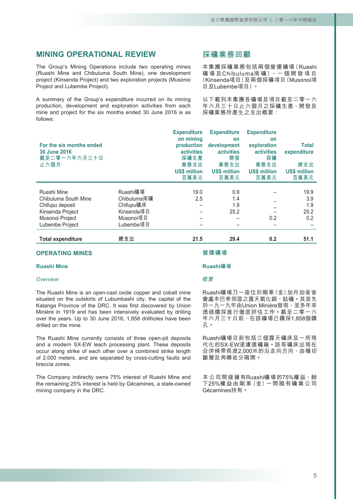# **MINING OPERATIONAL REVIEW**

The Group's Mining Operations include two operating mines (Ruashi Mine and Chibuluma South Mine), one development project (Kinsenda Project) and two exploration projects (Musonoi Project and Lubembe Project).

A summary of the Group's expenditure incurred on its mining production, development and exploration activities from each mine and project for the six months ended 30 June 2016 is as follows:

# **採礦業務回顧**

本集團採礦業務包括兩個營運礦場(Ruashi 礦 場 及Chibuluma南 礦)、一 個 開 發 項 目 (Kinsenda項目)及兩個探礦項目(Musonoi項 目及Lubembe項目)。

以下載列本集團各礦場及項目截至二零一六 年六月三十日止六個月之採礦生產、開發及 探礦業務所產生之支出概要:

| For the six months ended<br>30 June 2016 |             | <b>Expenditure</b><br>on mining<br>production<br><b>activities</b> | <b>Expenditure</b><br>on<br>development<br><b>activities</b> | <b>Expenditure</b><br>on<br>exploration<br><b>activities</b> | <b>Total</b><br>expenditure |
|------------------------------------------|-------------|--------------------------------------------------------------------|--------------------------------------------------------------|--------------------------------------------------------------|-----------------------------|
| 截至二零一六年六月三十日<br>止六個月                     |             | 採礦生產<br>業務支出                                                       | 開發<br>業務支出                                                   | 探礦<br>業務支出                                                   | 總支出                         |
|                                          |             | <b>US\$ million</b>                                                | <b>US\$ million</b>                                          | <b>US\$ million</b>                                          | <b>US\$ million</b>         |
|                                          |             | 百萬美元                                                               | 百萬美元                                                         | 百萬美元                                                         | 百萬美元                        |
|                                          |             |                                                                    |                                                              |                                                              |                             |
| Ruashi Mine                              | Ruashi礦場    | 19.0                                                               | 0.9                                                          |                                                              | 19.9                        |
| Chibuluma South Mine                     | Chibuluma南礦 | 2.5                                                                | 1.4                                                          |                                                              | 3.9                         |
| Chifupu deposit                          | Chifupu礦床   |                                                                    | 1.9                                                          |                                                              | 1.9                         |
| Kinsenda Project                         | Kinsenda項目  |                                                                    | 25.2                                                         |                                                              | 25.2                        |
| Musonoi Project                          | Musonoi項目   |                                                                    |                                                              | 0.2                                                          | 0.2                         |
| Lubembe Project                          | Lubembe項目   |                                                                    |                                                              |                                                              |                             |
| <b>Total expenditure</b>                 | 總支出         | 21.5                                                               | 29.4                                                         | 0.2                                                          | 51.1                        |

### **OPERATING MINES**

#### **Ruashi Mine**

#### *Overview*

The Ruashi Mine is an open-cast oxide copper and cobalt mine situated on the outskirts of Lubumbashi city, the capital of the Katanga Province of the DRC. It was first discovered by Union Miniére in 1919 and has been intensively evaluated by drilling over the years. Up to 30 June 2016, 1,858 drillholes have been drilled on the mine.

The Ruashi Mine currently consists of three open-pit deposits and a modern SX-EW leach processing plant. These deposits occur along strike of each other over a combined strike length of 2,000 meters, and are separated by cross-cutting faults and breccia zones.

The Company indirectly owns 75% interest of Ruashi Mine and the remaining 25% interest is held by Gécamines, a state-owned mining company in the DRC.

#### **營運礦場**

#### **Ruashi礦場**

#### 概覽

Ruashi礦場乃一座位於剛果(金)加丹加省省 會盧本巴希郊區之露天氧化銅、鈷礦。其首先 於一九一九年由Union Miniére發現,並多年來 透過鑽探進行徹底評估工作。截至二零一六 年六月三十日前,在該礦場已鑽探1,858個鑽 孔。

Ruashi礦場目前包括三個露天礦床及一所現 代化的SX-EW浸濾選礦廠。該等礦床出現在 合併條帶長度2,000米的沿走向方向,由橫切 斷層及角礫岩分隔開。

本公司間接擁有Ruashi礦場的75%權益,餘 下25%權益由剛果(金)一間國有礦業公司 Gécamines持有。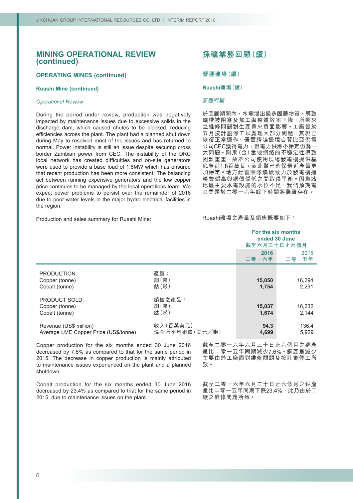### **OPERATING MINES (continued)**

### **Ruashi Mine (continued)**

#### *Operational Review*

During the period under review, production was negatively impacted by maintenance issues due to excessive solids in the discharge dam, which caused chutes to be blocked, reducing efficiencies across the plant. The plant had a planned shut down during May to resolved most of the issues and has returned to normal. Power instability is still an issue despite securing cross border Zambian power from CEC. The instability of the DRC local network has created difficulties and on-site generators were used to provide a base load of 1.8MW which has ensured that recent production has been more consistent. The balancing act between running expensive generators and the low copper price continues to be managed by the local operations team. We expect power problems to persist over the remainder of 2016 due to poor water levels in the major hydro electrical facilities in the region.

#### Production and sales summary for Ruashi Mine:

### **採礦業務回顧(續)**

#### **營運礦場(續)**

#### **Ruashi礦場(續)**

#### 營運回顧

於回顧期間內,水壩泄出過多固體物質,導致 礦槽被阻塞及加工廠整體效率下降,所帶來 之維修問題對生產帶來負面影響。工廠曾於 五月按計劃停工以處理大部分問題,其現已 恢復正常運作。儘管跨越邊境自贊比亞供電 公司CEC獲得電力,但電力供應不穩定仍為一 大問題。剛果(金)當地網絡的不穩定性導致 困難重重,故本公司使用現場發電機提供基 底負荷1.8百萬瓦,而此舉已確保最近產量更 加穩定。地方經營團隊繼續致力於發電機運 轉費偏高與銅價偏低之間取得平衡。因為該 地區主要水電設施的水位不足,我們預期電 力問題於二零一六年餘下時間將繼續存在。

Ruashi礦場之產量及銷售概要如下:

|                                                                 |                           | ended 30 June<br>截至六月三十日止六個月 | For the six months |
|-----------------------------------------------------------------|---------------------------|------------------------------|--------------------|
|                                                                 |                           | 2016<br>二零一六年                | 2015<br>二零一五年      |
| PRODUCTION:<br>Copper (tonne)<br>Cobalt (tonne)                 | 產量:<br>銅(噸)<br>鈷(噸)       | 15,050<br>1,754              | 16,294<br>2,291    |
| <b>PRODUCT SOLD:</b><br>Copper (tonne)<br>Cobalt (tonne)        | 銷售之產品:<br>銅(噸)<br>鈷(噸)    | 15,037<br>1,674              | 16,232<br>2,144    |
| Revenue (US\$ million)<br>Average LME Copper Price (US\$/tonne) | 收入(百萬美元)<br>倫金所平均銅價(美元/噸) | 94.3<br>4,699                | 136.4<br>5.929     |

Copper production for the six months ended 30 June 2016 decreased by 7.6% as compared to that for the same period in 2015. The decrease in copper production is mainly attributed to maintenance issues experienced on the plant and a planned shutdown.

Cobalt production for the six months ended 30 June 2016 decreased by 23.4% as compared to that for the same period in 2015, due to maintenance issues on the plant.

截至二零一六年六月三十日止六個月之銅產 量比二零一五年同期減少7.6%。銅產量減少 主要由於工廠面對維修問題及按計劃停工所 致。

截至二零一六年六月三十日止六個月之鈷產 量比二零一五年同期下跌23.4%,此乃由於工 廠之維修問題所致。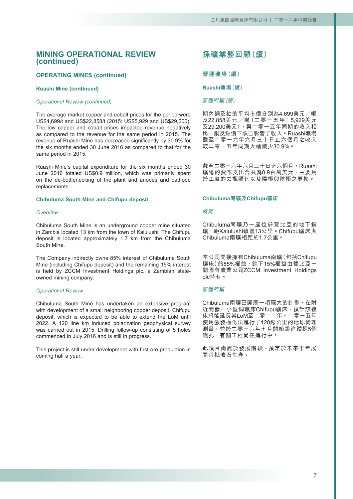# **OPERATING MINES (continued)**

#### **Ruashi Mine (continued)**

#### *Operational Review (continued)*

The average market copper and cobalt prices for the period were US\$4,699/t and US\$22,858/t (2015: US\$5,929 and US\$29,200). The low copper and cobalt prices impacted revenue negatively as compared to the revenue for the same period in 2015. The revenue of Ruashi Mine has decreased significantly by 30.9% for the six months ended 30 June 2016 as compared to that for the same period in 2015.

Ruashi Mine's capital expenditure for the six months ended 30 June 2016 totaled US\$0.9 million, which was primarily spent on the de-bottlenecking of the plant and anodes and cathode replacements.

#### **Chibuluma South Mine and Chifupu deposit**

#### *Overview*

Chibuluma South Mine is an underground copper mine situated in Zambia located 13 km from the town of Kalulushi. The Chifupu deposit is located approximately 1.7 km from the Chibuluma South Mine.

The Company indirectly owns 85% interest of Chibuluma South Mine (including Chifupu deposit) and the remaining 15% interest is held by ZCCM Investment Holdings plc, a Zambian stateowned mining company.

#### *Operational Review*

Chibuluma South Mine has undertaken an extensive program with development of a small neighboring copper deposit, Chifupu deposit, which is expected to be able to extend the LoM until 2022. A 120 line km induced polarization geophysical survey was carried out in 2015. Drilling follow-up consisting of 5 holes commenced in July 2016 and is still in progress.

This project is still under development with first ore production in coming half a year.

# **採礦業務回顧(續)**

#### **營運礦場(續)**

#### **Ruashi礦場(續)**

#### 營運回顧(續)

期內銅及鈷的平均市價分別為4,699美元╱噸 及22,858美元╱噸(二零一五年:5,929美元 Q29,200美元),與二零一五年同期的收入相 比,銅及鈷價下跌已影響了收入。Ruashi礦場 截至二零一六年六月三十日止六個月之收入 較二零一五年同期大幅減少30.9%。

截至二零一六年六月三十日止六個月,Ruashi 礦場的資本支出合共為0.9百萬美元,主要用 於工廠的去瓶頸化以及陽極與陰極之更換。

#### **Chibuluma南礦及Chifupu礦床**

#### 概覽

Chibuluma南礦乃一座位於贊比亞的地下銅 礦,距Kalulushi鎮區13公里。Chifupu礦床與 Chibuluma南礦相距約1.7公里。

本公司間接擁有Chibuluma南礦(包括Chifupu 礦床)的85%權益,餘下15%權益由贊比亞一 間國有礦業公司ZCCM Investment Holdings plc持有。

#### 營運回顧

Chibuluma南礦已開展一項龐大的計劃,在附 近開發一小型銅礦床Chifupu礦床,預計該礦 床將能延長其LoM至二零二二年。二零一五年 使用激發極化法進行了120線公里的地球物理 測量,並於二零一六年七月開始跟進鑽探5個 鑽孔,有關工程尚在進行中。

此項目尚處於發展階段,預定於未來半年展 開首批礦石生產。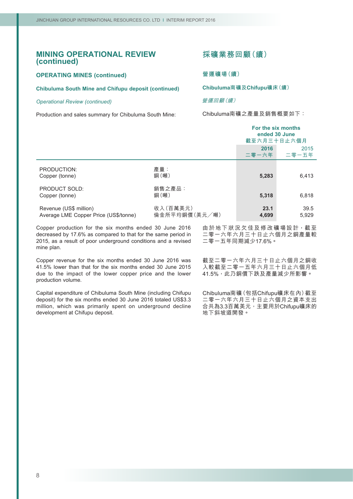### **OPERATING MINES (continued)**

### **Chibuluma South Mine and Chifupu deposit (continued)**

#### *Operational Review (continued)*

Production and sales summary for Chibuluma South Mine:

# **採礦業務回顧(續)**

**營運礦場(續)**

**Chibuluma南礦及Chifupu礦床(續)**

### 營運回顧(續)

Chibuluma南礦之產量及銷售概要如下:

|                                                                 |                           | For the six months<br>ended 30 June<br>截至六月三十日止六個月 |               |
|-----------------------------------------------------------------|---------------------------|----------------------------------------------------|---------------|
|                                                                 |                           | 2016<br>二零一六年                                      | 2015<br>二零一五年 |
| PRODUCTION:<br>Copper (tonne)                                   | 產量:<br>銅(噸)               | 5,283                                              | 6,413         |
| PRODUCT SOLD:<br>Copper (tonne)                                 | 銷售之產品:<br>銅(噸)            | 5,318                                              | 6,818         |
| Revenue (US\$ million)<br>Average LME Copper Price (US\$/tonne) | 收入(百萬美元)<br>倫金所平均銅價(美元/噸) | 23.1<br>4,699                                      | 39.5<br>5.929 |

Copper production for the six months ended 30 June 2016 decreased by 17.6% as compared to that for the same period in 2015, as a result of poor underground conditions and a revised mine plan.

Copper revenue for the six months ended 30 June 2016 was 41.5% lower than that for the six months ended 30 June 2015 due to the impact of the lower copper price and the lower production volume.

Capital expenditure of Chibuluma South Mine (including Chifupu deposit) for the six months ended 30 June 2016 totaled US\$3.3 million, which was primarily spent on underground decline development at Chifupu deposit.

由於地下狀況欠佳及修改礦場設計,截至 二零一六年六月三十日止六個月之銅產量較 二零一五年同期減少17.6%。

截至二零一六年六月三十日止六個月之銅收 入較截至二零一五年六月三十日止六個月低 41.5%,此乃銅價下跌及產量減少所影響。

Chibuluma南礦(包括Chifupu礦床在內)截至 二零一六年六月三十日止六個月之資本支出 合共為3.3百萬美元,主要用於Chifupu礦床的 地下斜坡道開發。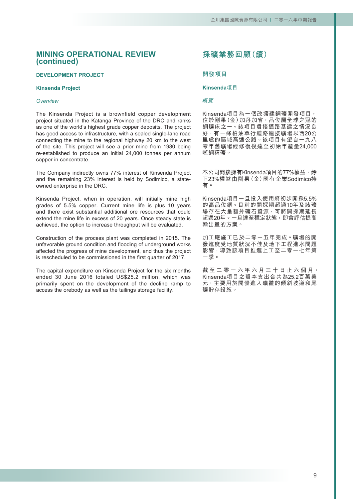#### **DEVELOPMENT PROJECT**

#### **Kinsenda Project**

#### *Overview*

The Kinsenda Project is a brownfield copper development project situated in the Katanga Province of the DRC and ranks as one of the world's highest grade copper deposits. The project has good access to infrastructure, with a sealed single-lane road connecting the mine to the regional highway 20 km to the west of the site. This project will see a prior mine from 1980 being re-established to produce an initial 24,000 tonnes per annum copper in concentrate.

The Company indirectly owns 77% interest of Kinsenda Project and the remaining 23% interest is held by Sodimico, a stateowned enterprise in the DRC.

Kinsenda Project, when in operation, will initially mine high grades of 5.5% copper. Current mine life is plus 10 years and there exist substantial additional ore resources that could extend the mine life in excess of 20 years. Once steady state is achieved, the option to increase throughput will be evaluated.

Construction of the process plant was completed in 2015. The unfavorable ground condition and flooding of underground works affected the progress of mine development, and thus the project is rescheduled to be commissioned in the first quarter of 2017.

The capital expenditure on Kinsenda Project for the six months ended 30 June 2016 totaled US\$25.2 million, which was primarily spent on the development of the decline ramp to access the orebody as well as the tailings storage facility.

# **採礦業務回顧(續)**

### **開發項目**

#### **Kinsenda項目**

#### 概覽

Kinsenda項目為一個改擴建銅礦開發項目, 位於剛果(金)加丹加省,品位屬全球之冠的 銅礦床之一。該項目貫接道路基建之情況良 好,有一條柏油單行道路連接礦場以西20公 里處的區域高速公路。該項目有望自一九八 零年舊礦場經修復後達至初始年產量24,000 噸銅精礦。

本公司間接擁有Kinsenda項目的77%權益,餘 下23%權益由剛果(金)國有企業Sodimico持 有。

Kinsenda項目一旦投入使用將初步開採5.5% 的高品位銅。目前的開採期超過10年及該礦 場存在大量額外礦石資源,可將開採期延長 超過20年。一旦達至穩定狀態,即會評估提高 輸出量的方案。

加工廠施工已於二零一五年完成。礦場的開 發進度受地質狀況不佳及地下工程進水問題 影響,導致該項目推遲上工至二零一七年第 一季。

截至二零一六年六月三十日止六個月, Kinsenda項目之資本支出合共為25.2百萬美 元,主要用於開發進入礦體的傾斜坡道和尾 礦貯存設施。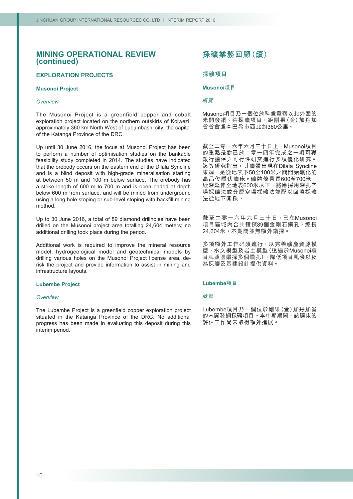### **EXPLORATION PROJECTS**

### **Musonoi Project**

#### *Overview*

The Musonoi Project is a greenfield copper and cobalt exploration project located on the northern outskirts of Kolwezi, approximately 360 km North West of Lubumbashi city, the capital of the Katanga Province of the DRC.

Up until 30 June 2016, the focus at Musonoi Project has been to perform a number of optimisation studies on the bankable feasibility study completed in 2014. The studies have indicated that the orebody occurs on the eastern end of the Dilala Syncline and is a blind deposit with high-grade mineralisation starting at between 50 m and 100 m below surface. The orebody has a strike length of 600 m to 700 m and is open ended at depth below 600 m from surface, and will be mined from underground using a long hole stoping or sub-level stoping with backfill mining method.

Up to 30 June 2016, a total of 89 diamond drillholes have been drilled on the Musonoi project area totalling 24,604 meters; no additional drilling took place during the period.

Additional work is required to improve the mineral resource model, hydrogeological model and geotechnical models by drilling various holes on the Musonoi Project license area, derisk the project and provide information to assist in mining and infrastructure layouts.

#### **Lubembe Project**

#### *Overview*

The Lubembe Project is a greenfield copper exploration project situated in the Katanga Province of the DRC. No additional progress has been made in evaluating this deposit during this interim period.

# **採礦業務回顧(續)**

### **探礦項目**

### **Musonoi項目**

#### 概覽

Musonoi項目乃一個位於科盧韋齊以北外圍的 未開發銅、鈷探礦項目,距剛果(金)加丹加 省省會盧本巴希市西北約360公里。

截至二零一六年六月三十日止,Musonoi項目 的重點是對已於二零一四年完成之一項可獲 銀行擔保之可行性研究進行多項優化研究。 該等研究指出,其礦體出現在Dilala Syncline 東端,是從地表下50至100米之間開始礦化的 高品位隱伏礦床。礦體條帶長600至700米, 縱深延伸至地表600米以下,將應採用深孔空 場採礦法或分層空場採礦法並配以回填採礦 法從地下開採。

截至二零一六年六月三十日,已在Musonoi 項目區域內合共鑽探89個金剛石鑽孔,總長 24,604米,本期間並無額外鑽探。

多項額外工作必須進行,以完善礦產資源模 型、水文模型及岩土模型(透過於Musonoi項 目牌照區鑽探多個鑽孔),降低項目風險以及 為採礦及基建設計提供資料。

#### **Lubembe項目**

#### 概覽

Lubembe項目乃一個位於剛果(金)加丹加省 的未開發銅探礦項目。本中期期間,該礦床的 評估工作尚未取得額外進展。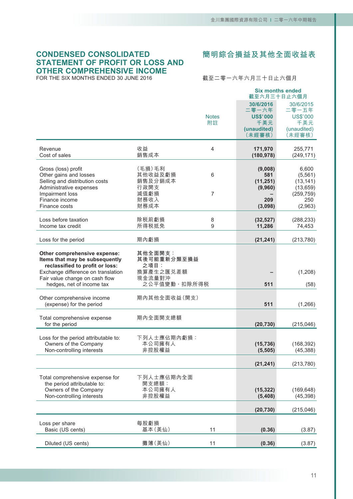# **CONDENSED CONSOLIDATED STATEMENT OF PROFIT OR LOSS AND OTHER COMPREHENSIVE INCOME**

FOR THE SIX MONTHS ENDED 30 JUNE 2016

**簡明綜合損益及其他全面收益表**

截至二零一六年六月三十日止六個月

|                                                                                                                                                                                                        |                                                                       | <b>Notes</b><br>附註 | 30/6/2016<br>二零一六年<br><b>US\$'000</b><br>千美元<br>(unaudited)<br>(未經審核) | <b>Six months ended</b><br>截至六月三十日止六個月<br>30/6/2015<br>二零一五年<br><b>US\$'000</b><br>千美元<br>(unaudited)<br>(未經審核) |
|--------------------------------------------------------------------------------------------------------------------------------------------------------------------------------------------------------|-----------------------------------------------------------------------|--------------------|-----------------------------------------------------------------------|-----------------------------------------------------------------------------------------------------------------|
| Revenue<br>Cost of sales                                                                                                                                                                               | 收益<br>銷售成本                                                            | $\overline{4}$     | 171,970<br>(180, 978)                                                 | 255,771<br>(249, 171)                                                                                           |
| Gross (loss) profit<br>Other gains and losses<br>Selling and distribution costs<br>Administrative expenses<br>Impairment loss<br>Finance income<br>Finance costs                                       | (毛損)毛利<br>其他收益及虧損<br>銷售及分銷成本<br>行政開支<br>減值虧損<br>財務收入<br>財務成本          | 6<br>7             | (9,008)<br>581<br>(11, 251)<br>(9,960)<br>209<br>(3,098)              | 6,600<br>(5,561)<br>(13, 141)<br>(13, 659)<br>(259, 759)<br>250<br>(2,963)                                      |
| Loss before taxation<br>Income tax credit                                                                                                                                                              | 除税前虧損<br>所得税抵免                                                        | 8<br>9             | (32, 527)<br>11,286                                                   | (288, 233)<br>74,453                                                                                            |
| Loss for the period                                                                                                                                                                                    | 期內虧損                                                                  |                    | (21, 241)                                                             | (213, 780)                                                                                                      |
| Other comprehensive expense:<br>Items that may be subsequently<br>reclassified to profit or loss:<br>Exchange difference on translation<br>Fair value change on cash flow<br>hedges, net of income tax | 其他全面開支:<br>其後可能重新分類至損益<br>之項目:<br>換算產生之匯兑差額<br>現金流量對沖<br>之公平值變動,扣除所得税 |                    | 511                                                                   | (1,208)<br>(58)                                                                                                 |
| Other comprehensive income<br>(expense) for the period                                                                                                                                                 | 期內其他全面收益(開支)                                                          |                    | 511                                                                   | (1,266)                                                                                                         |
| Total comprehensive expense<br>for the period                                                                                                                                                          | 期內全面開支總額                                                              |                    | (20, 730)                                                             | (215, 046)                                                                                                      |
| Loss for the period attributable to:<br>Owners of the Company<br>Non-controlling interests                                                                                                             | 下列人士應佔期內虧損:<br>本公司擁有人<br>非控股權益                                        |                    | (15, 736)<br>(5, 505)                                                 | (168, 392)<br>(45, 388)                                                                                         |
|                                                                                                                                                                                                        |                                                                       |                    | (21, 241)                                                             | (213, 780)                                                                                                      |
| Total comprehensive expense for<br>the period attributable to:<br>Owners of the Company<br>Non-controlling interests                                                                                   | 下列人士應佔期內全面<br>開支總額:<br>本公司擁有人<br>非控股權益                                |                    | (15, 322)<br>(5,408)                                                  | (169, 648)<br>(45, 398)                                                                                         |
|                                                                                                                                                                                                        |                                                                       |                    | (20, 730)                                                             | (215, 046)                                                                                                      |
| Loss per share<br>Basic (US cents)                                                                                                                                                                     | 每股虧損<br>基本(美仙)                                                        | 11                 | (0.36)                                                                | (3.87)                                                                                                          |
| Diluted (US cents)                                                                                                                                                                                     | 攤薄(美仙)                                                                | 11                 | (0.36)                                                                | (3.87)                                                                                                          |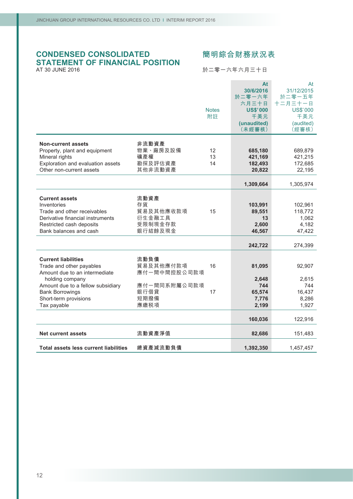# **CONDENSED CONSOLIDATED STATEMENT OF FINANCIAL POSITION** AT 30 JUNE 2016

# **簡明綜合財務狀況表**

於二零一六年六月三十日

|                                                                                                                                                                                                                   | <b>Notes</b><br>附註                                                                    | At<br>30/6/2016<br>於二零一六年<br>六月三十日<br><b>US\$'000</b><br>千美元<br>(unaudited)<br>(未經審核) | At<br>31/12/2015<br>於二零一五年<br>十二月三十一日<br><b>US\$'000</b><br>千美元<br>(audited)<br>(經審核) |
|-------------------------------------------------------------------------------------------------------------------------------------------------------------------------------------------------------------------|---------------------------------------------------------------------------------------|---------------------------------------------------------------------------------------|---------------------------------------------------------------------------------------|
| <b>Non-current assets</b><br>Property, plant and equipment<br>Mineral rights<br>Exploration and evaluation assets<br>Other non-current assets                                                                     | 非流動資產<br>物業、廠房及設備<br>12<br>礦產權<br>13<br>勘探及評估資產<br>14<br>其他非流動資產                      | 685,180<br>421,169<br>182,493<br>20,822                                               | 689,879<br>421,215<br>172,685<br>22,195                                               |
|                                                                                                                                                                                                                   |                                                                                       | 1,309,664                                                                             | 1,305,974                                                                             |
| <b>Current assets</b><br>Inventories<br>Trade and other receivables<br>Derivative financial instruments<br>Restricted cash deposits<br>Bank balances and cash                                                     | 流動資產<br>存貨<br>貿易及其他應收款項<br>15<br>衍生金融工具<br>受限制現金存款<br>銀行結餘及現金                         | 103,991<br>89,551<br>13<br>2,600<br>46,567<br>242,722                                 | 102,961<br>118,772<br>1,062<br>4,182<br>47,422<br>274,399                             |
| <b>Current liabilities</b><br>Trade and other payables<br>Amount due to an intermediate<br>holding company<br>Amount due to a fellow subsidiary<br><b>Bank Borrowings</b><br>Short-term provisions<br>Tax payable | 流動負債<br>貿易及其他應付款項<br>16<br>應付一間中間控股公司款項<br>應付一間同系附屬公司款項<br>銀行借貸<br>17<br>短期撥備<br>應繳税項 | 81,095<br>2,648<br>744<br>65,574<br>7,776<br>2,199                                    | 92,907<br>2,615<br>744<br>16,437<br>8,286<br>1,927                                    |
|                                                                                                                                                                                                                   |                                                                                       | 160,036                                                                               | 122,916                                                                               |
| <b>Net current assets</b>                                                                                                                                                                                         | 流動資產淨值                                                                                | 82,686                                                                                | 151,483                                                                               |
| <b>Total assets less current liabilities</b>                                                                                                                                                                      | 總資產減流動負債                                                                              | 1,392,350                                                                             | 1,457,457                                                                             |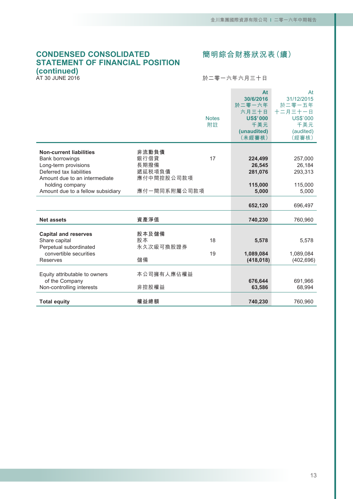# **CONDENSED CONSOLIDATED STATEMENT OF FINANCIAL POSITION (continued)**

AT 30 JUNE 2016

# **簡明綜合財務狀況表(續)**

### 於二零一六年六月三十日

|                                                                                                              |                                 | <b>Notes</b><br>附註 | At<br>30/6/2016<br>於二零一六年<br>六月三十日<br><b>US\$'000</b><br>千美元<br>(unaudited)<br>(未經審核) | At<br>31/12/2015<br>於二零一五年<br>十二月三十一日<br><b>US\$'000</b><br>千美元<br>(audited)<br>(經審核) |
|--------------------------------------------------------------------------------------------------------------|---------------------------------|--------------------|---------------------------------------------------------------------------------------|---------------------------------------------------------------------------------------|
| <b>Non-current liabilities</b><br>Bank borrowings<br>Long-term provisions<br>Deferred tax liabilities        | 非流動負債<br>銀行借貸<br>長期撥備<br>遞延税項負債 | 17                 | 224,499<br>26.545<br>281,076                                                          | 257,000<br>26.184<br>293,313                                                          |
| Amount due to an intermediate<br>holding company<br>Amount due to a fellow subsidiary                        | 應付中間控股公司款項<br>應付一間同系附屬公司款項      |                    | 115,000<br>5,000                                                                      | 115,000<br>5,000                                                                      |
|                                                                                                              |                                 |                    | 652,120                                                                               | 696,497                                                                               |
| <b>Net assets</b>                                                                                            | 資產淨值                            |                    | 740,230                                                                               | 760,960                                                                               |
| <b>Capital and reserves</b><br>Share capital<br>Perpetual subordinated<br>convertible securities<br>Reserves | 股本及儲備<br>股本<br>永久次級可換股證券<br>儲備  | 18<br>19           | 5,578<br>1,089,084<br>(418, 018)                                                      | 5,578<br>1,089,084<br>(402, 696)                                                      |
| Equity attributable to owners<br>of the Company<br>Non-controlling interests                                 | 本公司擁有人應佔權益<br>非控股權益             |                    | 676,644<br>63,586                                                                     | 691,966<br>68,994                                                                     |
| <b>Total equity</b>                                                                                          | 權益總額                            |                    | 740,230                                                                               | 760,960                                                                               |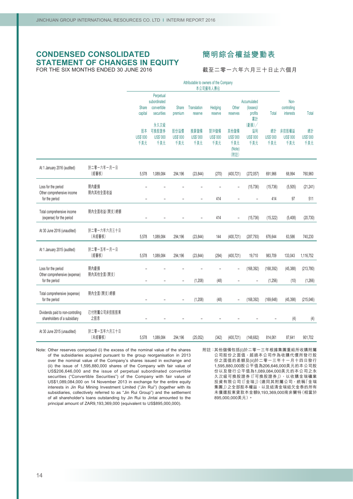### **CONDENSED CONSOLIDATED STATEMENT OF CHANGES IN EQUITY** FOR THE SIX MONTHS ENDED 30 JUNE 2016

# **簡明綜合權益變動表**

截至二零一六年六月三十日止六個月

|                                                                        |                       | Attributable to owners of the Company<br>本公司擁有人應佔 |                                                        |                          |                               |                         |                                                  |                                          |                              |                                  |                       |
|------------------------------------------------------------------------|-----------------------|---------------------------------------------------|--------------------------------------------------------|--------------------------|-------------------------------|-------------------------|--------------------------------------------------|------------------------------------------|------------------------------|----------------------------------|-----------------------|
|                                                                        |                       | Share<br>capital                                  | Perpetual<br>subordinated<br>convertible<br>securities | <b>Share</b><br>premium  | <b>Translation</b><br>reserve | Hedging<br>reserve      | Other<br>reserves                                | Accumulated<br>(losses)<br>profits<br>累計 | <b>Total</b>                 | Non-<br>controlling<br>interests | Total                 |
|                                                                        |                       | 股本<br>US\$'000<br>千美元                             | 永久次級<br>可换股證券<br><b>US\$'000</b><br>千美元                | 股份溢價<br>US\$'000<br>千美元  | 換算儲備<br>US\$'000<br>千美元       | 對沖儲備<br>US\$'000<br>千美元 | 其他儲備<br><b>US\$'000</b><br>千美元<br>(Note)<br>(附註) | (虧損)/<br>溢利<br>US\$'000<br>千美元           | 總計<br><b>US\$'000</b><br>千美元 | 非控股權益<br>US\$'000<br>千美元         | 總計<br>US\$'000<br>千美元 |
| At 1 January 2016 (audited)                                            | 於二零一六年一月一日<br>(經審核)   | 5,578                                             | 1,089,084                                              | 294,196                  | (23, 844)                     | (270)                   | (400, 721)                                       | (272, 057)                               | 691,966                      | 68,994                           | 760,960               |
| Loss for the period<br>Other comprehensive income<br>for the period    | 期內虧損<br>期內其他全面收益      | $\overline{\phantom{0}}$                          | L,                                                     | $\overline{a}$           | $\overline{\phantom{a}}$      | 414                     | $\overline{a}$                                   | (15, 736)                                | (15, 736)<br>414             | (5,505)<br>97                    | (21, 241)<br>511      |
| Total comprehensive income<br>(expense) for the period                 | 期內全面收益(開支)總額          |                                                   |                                                        |                          |                               | 414                     |                                                  | (15, 736)                                | (15, 322)                    | (5, 408)                         | (20, 730)             |
| At 30 June 2016 (unaudited)                                            | 於二零一六年六月三十日<br>(未經審核) | 5,578                                             | 1,089,084                                              | 294,196                  | (23, 844)                     | 144                     | (400, 721)                                       | (287, 793)                               | 676.644                      | 63,586                           | 740,230               |
| At 1 January 2015 (audited)                                            | 於二零一五年一月一日<br>(經審核)   | 5,578                                             | 1,089,084                                              | 294,196                  | (23, 844)                     | (294)                   | (400, 721)                                       | 19,710                                   | 983,709                      | 133,043                          | 1,116,752             |
| Loss for the period<br>Other comprehensive (expense)<br>for the period | 期內虧損<br>期內其他全面(開支)    |                                                   |                                                        |                          | (1, 208)                      | (48)                    | $\overline{a}$                                   | (168, 392)                               | (168, 392)<br>(1,256)        | (45, 388)                        | (213, 780)            |
| Total comprehensive (expense)<br>for the period                        | 期內全面(開支)總額            | $\overline{\phantom{0}}$                          | $\qquad \qquad -$                                      | $\overline{\phantom{0}}$ | (1, 208)                      | (48)                    | $\overline{\phantom{0}}$                         | (168, 392)                               | (169, 648)                   | (10)<br>(45, 398)                | (1,266)<br>(215,046)  |
| Dividends paid to non-controlling<br>shareholders of a subsidiary      | 已付附屬公司非控股股東<br>之股息    | $\overline{\phantom{0}}$                          | $\overline{\phantom{a}}$                               | $\overline{a}$           | $\overline{\phantom{0}}$      | L,                      |                                                  |                                          |                              | (4)                              | (4)                   |
| At 30 June 2015 (unaudited)                                            | 於二零一五年六月三十日<br>(未經審核) | 5,578                                             | 1,089,084                                              | 294,196                  | (25,052)                      | (342)                   | (400, 721)                                       | (148, 682)                               | 814,061                      | 87,641                           | 901,702               |

Note: Other reserves comprised (i) the excess of the nominal value of the shares of the subsidiaries acquired pursuant to the group reorganisation in 2013 over the nominal value of the Company's shares issued in exchange and (ii) the issue of 1,595,880,000 shares of the Company with fair value of US\$206,646,000 and the issue of perpetual subordinated convertible securities ("Convertible Securities") of the Company with fair value of US\$1,089,084,000 on 14 November 2013 in exchange for the entire equity interests in Jin Rui Mining Investment Limited ("Jin Rui") (together with its subsidiaries, collectively referred to as "Jin Rui Group") and the settlement of all shareholder's loans outstanding by Jin Rui to Jintai amounted to the principal amount of ZAR9,193,369,000 (equivalent to US\$895,000,000).

附註:其他儲備包括(i)於二零一三年根據集團重組所收購附屬 公司股份之面值,超過本公司作為收購代價所發行股 份之面值的差額及(ii)於二零一三年十一月十四日發行 1,595,880,000股公平值為206,646,000美元的本公司股 份以及發行公平值為1,089,084,000美元的本公司之永 久次級可換股證券(「可換股證券」),以收購金瑞礦業 投資有限公司(「金瑞」)(連同其附屬公司,統稱「金瑞 集團」)之全部股本權益,以及結清金瑞結欠金泰的所有 未償還股東貸款本金額9,193,369,000南非蘭特(相當於 895,000,000美元)。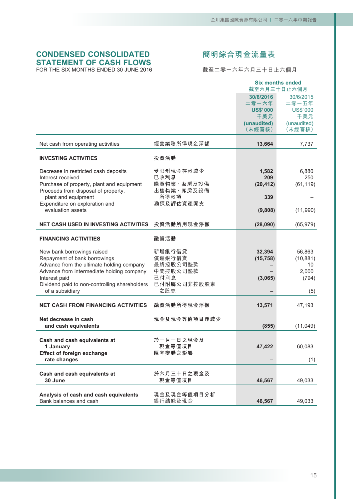# **CONDENSED CONSOLIDATED STATEMENT OF CASH FLOWS** FOR THE SIX MONTHS ENDED 30 JUNE 2016

# **簡明綜合現金流量表**

截至二零一六年六月三十日止六個月

|                                                                |                     |                       | <b>Six months ended</b><br>截至六月三十日止六個月 |
|----------------------------------------------------------------|---------------------|-----------------------|----------------------------------------|
|                                                                |                     | 30/6/2016             | 30/6/2015                              |
|                                                                |                     | 二零一六年                 | 二零一五年                                  |
|                                                                |                     | <b>US\$'000</b>       | <b>US\$'000</b>                        |
|                                                                |                     | 千美元                   | 千美元                                    |
|                                                                |                     | (unaudited)<br>(未經審核) | (unaudited)<br>(未經審核)                  |
|                                                                |                     |                       |                                        |
| Net cash from operating activities                             | 經營業務所得現金淨額          | 13,664                | 7,737                                  |
| <b>INVESTING ACTIVITIES</b>                                    | 投資活動                |                       |                                        |
| Decrease in restricted cash deposits                           | 受限制現金存款減少           | 1,582                 | 6,880                                  |
| Interest received                                              | 已收利息                | 209                   | 250                                    |
| Purchase of property, plant and equipment                      | 購買物業、廠房及設備          | (20, 412)             | (61, 119)                              |
| Proceeds from disposal of property,<br>plant and equipment     | 出售物業、廠房及設備<br>所得款項  | 339                   |                                        |
| Expenditure on exploration and                                 | 勘探及評估資產開支           |                       |                                        |
| evaluation assets                                              |                     | (9,808)               | (11,990)                               |
| <b>NET CASH USED IN INVESTING ACTIVITIES</b>                   | 投資活動所用現金淨額          | (28,090)              | (65, 979)                              |
| <b>FINANCING ACTIVITIES</b>                                    | 融資活動                |                       |                                        |
| New bank borrowings raised                                     | 新增銀行借貸              | 32,394                | 56,863                                 |
| Repayment of bank borrowings                                   | 償還銀行借貸              | (15, 758)             | (10, 881)                              |
| Advance from the ultimate holding company                      | 最終控股公司墊款            |                       | 10                                     |
| Advance from intermediate holding company                      | 中間控股公司墊款            |                       | 2,000                                  |
| Interest paid<br>Dividend paid to non-controlling shareholders | 已付利息<br>已付附屬公司非控股股東 | (3,065)               | (794)                                  |
| of a subsidiary                                                | 之股息                 |                       | (5)                                    |
| <b>NET CASH FROM FINANCING ACTIVITIES</b>                      | 融資活動所得現金淨額          | 13,571                | 47,193                                 |
|                                                                |                     |                       |                                        |
| Net decrease in cash                                           | 現金及現金等值項目淨減少        |                       |                                        |
| and cash equivalents                                           |                     | (855)                 | (11,049)                               |
| Cash and cash equivalents at                                   | 於一月一日之現金及           |                       |                                        |
| 1 January                                                      | 現金等值項目              | 47,422                | 60,083                                 |
| <b>Effect of foreign exchange</b>                              | 匯率變動之影響             |                       |                                        |
| rate changes                                                   |                     |                       | (1)                                    |
| Cash and cash equivalents at                                   | 於六月三十日之現金及          |                       |                                        |
| 30 June                                                        | 現金等值項目              | 46,567                | 49,033                                 |
|                                                                |                     |                       |                                        |
| Analysis of cash and cash equivalents                          | 現金及現金等值項目分析         |                       |                                        |
| Bank balances and cash                                         | 銀行結餘及現金             | 46,567                | 49,033                                 |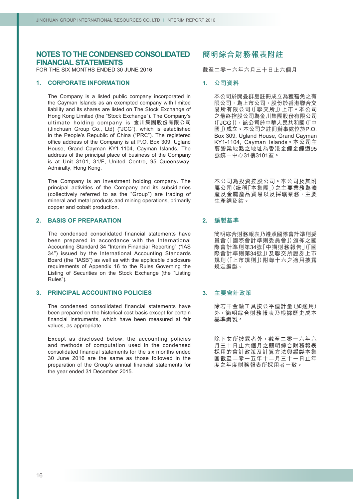FOR THE SIX MONTHS ENDED 30 JUNE 2016

### **1. CORPORATE INFORMATION**

The Company is a listed public company incorporated in the Cayman Islands as an exempted company with limited liability and its shares are listed on The Stock Exchange of Hong Kong Limited (the "Stock Exchange"). The Company's ultimate holding company is 金川集團股份有限公司 (Jinchuan Group Co., Ltd) ("JCG"), which is established in the People's Republic of China ("PRC"). The registered office address of the Company is at P.O. Box 309, Ugland House, Grand Cayman KY1-1104, Cayman Islands. The address of the principal place of business of the Company is at Unit 3101, 31/F, United Centre, 95 Queensway, Admiralty, Hong Kong.

The Company is an investment holding company. The principal activities of the Company and its subsidiaries (collectively referred to as the "Group") are trading of mineral and metal products and mining operations, primarily copper and cobalt production.

### **2. BASIS OF PREPARATION**

The condensed consolidated financial statements have been prepared in accordance with the International Accounting Standard 34 "Interim Financial Reporting" ("IAS 34") issued by the International Accounting Standards Board (the "IASB") as well as with the applicable disclosure requirements of Appendix 16 to the Rules Governing the Listing of Securities on the Stock Exchange (the "Listing Rules").

#### **3. PRINCIPAL ACCOUNTING POLICIES**

The condensed consolidated financial statements have been prepared on the historical cost basis except for certain financial instruments, which have been measured at fair values, as appropriate.

Except as disclosed below, the accounting policies and methods of computation used in the condensed consolidated financial statements for the six months ended 30 June 2016 are the same as those followed in the preparation of the Group's annual financial statements for the year ended 31 December 2015.

# **簡明綜合財務報表附註**

截至二零一六年六月三十日止六個月

#### **1. 公司資料**

本公司於開曼群島註冊成立為獲豁免之有 限公司,為上市公司,股份於香港聯合交 易所有限公司(「聯交所」)上市。本公司 之最終控股公司為金川集團股份有限公司 (「JCG」),該公司於中華人民共和國(「中 國」)成立。本公司之註冊辦事處位於P.O. Box 309, Ugland House, Grand Cayman KY1-1104, Cayman Islands。本公司主 要營業地點之地址為香港金鐘金鐘道95 號統一中心31樓3101室。

本公司為投資控股公司。本公司及其附 屬公司(統稱「本集團」)之主要業務為礦 產及金屬產品貿易以及採礦業務,主要 生產銅及鈷。

# **2. 編製基準**

簡明綜合財務報表乃遵照國際會計準則委 員會(「國際會計準則委員會」)頒佈之國 際會計準則第34號「中期財務報告」(「國 際會計準則第34號」)及聯交所證券上市 規則(「上市規則」)附錄十六之適用披露 規定編製。

### **3. 主要會計政策**

除若干金融工具按公平值計量(如適用) 外,簡明綜合財務報表乃根據歷史成本 基準編製。

除下文所披露者外,截至二零一六年六 月三十日止六個月之簡明綜合財務報表 採用的會計政策及計算方法與編製本集 團截至二零一五年十二月三十一日止年 度之年度財務報表所採用者一致。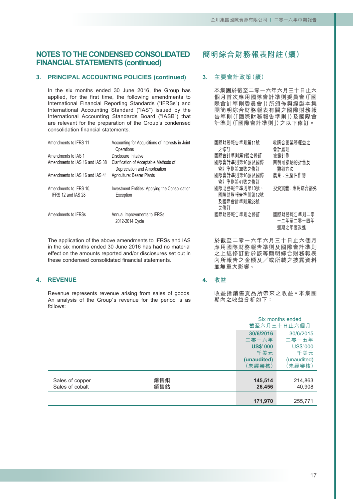# **3. PRINCIPAL ACCOUNTING POLICIES (continued)**

In the six months ended 30 June 2016, the Group has applied, for the first time, the following amendments to International Financial Reporting Standards ("IFRSs") and International Accounting Standard ("IAS") issued by the International Accounting Standards Board ("IASB") that are relevant for the preparation of the Group's condensed consolidation financial statements.

| Amendments to IFRS 11                        | Accounting for Acquisitions of Interests in Joint<br>Operations         | 國際財務<br>之修訂                |
|----------------------------------------------|-------------------------------------------------------------------------|----------------------------|
| Amendments to IAS 1                          | Disclosure Initative                                                    | 國際會計                       |
| Amendments to IAS 16 and IAS 38              | Clarification of Acceptable Methods of<br>Depreciation and Amortisation | 國際會計<br>會計準                |
| Amendments to IAS 16 and IAS 41              | Agriculture: Bearer Plants                                              | 國際會計<br>會計準                |
| Amendments to IFRS 10,<br>IFRS 12 and IAS 28 | Investment Entities: Applying the Consolidation<br>Exception            | 國際財務<br>國際財<br>及國際1<br>之修訂 |
| Amendments to IFRSs                          | Annual Improvements to IFRSs<br>2012-2014 Cycle                         | 國際財務                       |

The application of the above amendments to IFRSs and IAS in the six months ended 30 June 2016 has had no material effect on the amounts reported and/or disclosures set out in these condensed consolidated financial statements.

### **4. REVENUE**

Revenue represents revenue arising from sales of goods. An analysis of the Group's revenue for the period is as follows:

**簡明綜合財務報表附註(續)**

### **3. 主要會計政策(續)**

本集團於截至二零一六年六月三十日止六 個月首次應用國際會計準則委員會(「國 際會計準則委員會」)所頒佈與編製本集 團簡明綜合財務報表有關之國際財務報 告準則(「國際財務報告準則」)及國際會 計準則(「國際會計準則」)之以下修訂。

| 國際財務報告準則第11號<br>之修訂 | 收購合營業務權益之<br>會計處理 |
|---------------------|-------------------|
| 國際會計準則第1號之修訂        | 披露計劃              |
| 國際會計準則第16號及國際       | 闡明可接納的折舊及         |
| 會計準則第38號之修訂         | 攤銷方法              |
| 國際會計準則第16號及國際       | 農業:生產性作物          |
| 會計準則第41號之修訂         |                   |
| 國際財務報告準則第10號、       | 投資實體:應用綜合豁免       |
| 國際財務報告準則第12號        |                   |
| 及國際會計準則第28號         |                   |
| 之修訂                 |                   |
| 國際財務報告準則之修訂         | 國際財務報告準則二零        |
|                     | 一二年至二零一四年         |
|                     | 週期之年度改進           |

於截至二零一六年六月三十日止六個月 應用國際財務報告準則及國際會計準則 之上述修訂對於該等簡明綜合財務報表 內所報告之金額及╱或所載之披露資料 並無重大影響。

### **4. 收益**

收益指銷售貨品所帶來之收益。本集團 期內之收益分析如下:

|                                    |            |                                                                       | Six months ended<br>截至六月三十日止六個月                                      |
|------------------------------------|------------|-----------------------------------------------------------------------|----------------------------------------------------------------------|
|                                    |            | 30/6/2016<br>二零一六年<br><b>US\$'000</b><br>千美元<br>(unaudited)<br>〔未經審核〕 | 30/6/2015<br>二零一五年<br><b>US\$'000</b><br>千美元<br>(unaudited)<br>未經審核) |
| Sales of copper<br>Sales of cobalt | 銷售銅<br>銷售鈷 | 145,514<br>26,456                                                     | 214,863<br>40,908                                                    |
|                                    |            | 171,970                                                               | 255,771                                                              |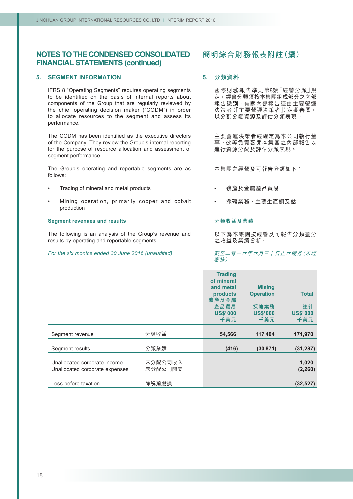### **5. SEGMENT INFORMATION**

IFRS 8 "Operating Segments" requires operating segments to be identified on the basis of internal reports about components of the Group that are regularly reviewed by the chief operating decision maker ("CODM") in order to allocate resources to the segment and assess its performance.

The CODM has been identified as the executive directors of the Company. They review the Group's internal reporting for the purpose of resource allocation and assessment of segment performance.

The Group's operating and reportable segments are as follows:

- Trading of mineral and metal products
- Mining operation, primarily copper and cobalt production

#### **Segment revenues and results**

The following is an analysis of the Group's revenue and results by operating and reportable segments.

*For the six months ended 30 June 2016 (unaudited)*

# **簡明綜合財務報表附註(續)**

### **5. 分類資料**

國際財務報告準則第8號「經營分類」規 定,經營分類須按本集團組成部分之內部 報告識別,有關內部報告經由主要營運 決策者(「主要營運決策者」)定期審閱, 以分配分類資源及評估分類表現。

主要營運決策者經確定為本公司執行董 事。彼等負責審閱本集團之內部報告以 進行資源分配及評估分類表現。

本集團之經營及可報告分類如下:

- 礦產及金屬產品貿易
- 採礦業務,主要生產銅及鈷

#### **分類收益及業績**

以下為本集團按經營及可報告分類劃分 之收益及業績分析。

#### 截至二零一六年六月三十日止六個月(未經 審核)

|                                                                |                    | <b>Trading</b><br>of mineral<br>and metal<br>products<br>礦產及金屬<br>產品貿易<br><b>US\$'000</b><br>千美元 | <b>Mining</b><br><b>Operation</b><br>採礦業務<br><b>US\$'000</b><br>千美元 | <b>Total</b><br>總計<br><b>US\$'000</b><br>千美元 |
|----------------------------------------------------------------|--------------------|--------------------------------------------------------------------------------------------------|---------------------------------------------------------------------|----------------------------------------------|
| Segment revenue                                                | 分類收益               | 54,566                                                                                           | 117,404                                                             | 171,970                                      |
| Segment results                                                | 分類業績               | (416)                                                                                            | (30, 871)                                                           | (31, 287)                                    |
| Unallocated corporate income<br>Unallocated corporate expenses | 未分配公司收入<br>未分配公司開支 |                                                                                                  |                                                                     | 1,020<br>(2, 260)                            |
| Loss before taxation                                           | 除税前虧損              |                                                                                                  |                                                                     | (32, 527)                                    |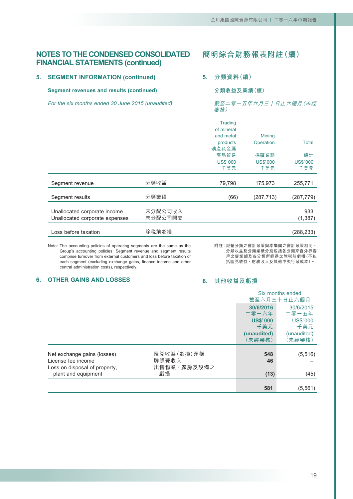**5. SEGMENT INFORMATION (continued)**

**Segment revenues and results (continued)**

**5. 分類資料(續)**

**分類收益及業績(續)**

*For the six months ended 30 June 2015 (unaudited)*

|     | 截至二零一五年六月三十日止六個月 (未經 |  |  |
|-----|----------------------|--|--|
| 審核) |                      |  |  |

|                                                                |                    | <b>Trading</b><br>of mineral |                 |                 |
|----------------------------------------------------------------|--------------------|------------------------------|-----------------|-----------------|
|                                                                |                    | and metal                    | <b>Mining</b>   |                 |
|                                                                |                    | products<br>礦產及金屬            | Operation       | <b>Total</b>    |
|                                                                |                    | 產品貿易                         | 採礦業務            | 總計              |
|                                                                |                    | <b>US\$'000</b>              | <b>US\$'000</b> | <b>US\$'000</b> |
|                                                                |                    | 千美元                          | 千美元             | 千美元             |
| Segment revenue                                                | 分類收益               | 79,798                       | 175,973         | 255,771         |
| Segment results                                                | 分類業績               | (66)                         | (287, 713)      | (287,779)       |
| Unallocated corporate income<br>Unallocated corporate expenses | 未分配公司收入<br>未分配公司開支 |                              |                 | 933<br>(1, 387) |
| Loss before taxation                                           | 除税前虧損              |                              |                 | (288,233)       |

Note: The accounting policies of operating segments are the same as the Group's accounting policies. Segment revenue and segment results comprise turnover from external customers and loss before taxation of each segment (excluding exchange gains, finance income and other central administration costs), respectively.

附註:經營分類之會計政策與本集團之會計政策相同。 分類收益及分類業績分別包括各分類來自外界客 戶之營業額及各分類所錄得之除稅前虧損(不包 括匯兌收益、財務收入及其他中央行政成本)。

### **6. OTHER GAINS AND LOSSES**

### **6. 其他收益及虧損**

|                                                                                                           |                                          |                                                                       | Six months ended<br>截至六月三十日止六個月                                       |
|-----------------------------------------------------------------------------------------------------------|------------------------------------------|-----------------------------------------------------------------------|-----------------------------------------------------------------------|
|                                                                                                           |                                          | 30/6/2016<br>二零一六年<br><b>US\$'000</b><br>千美元<br>(unaudited)<br>(未經審核) | 30/6/2015<br>二零一五年<br><b>US\$'000</b><br>千美元<br>(unaudited)<br>(未經審核) |
| Net exchange gains (losses)<br>License fee income<br>Loss on disposal of property,<br>plant and equipment | 匯兑收益(虧損)淨額<br>牌照費收入<br>出售物業、廠房及設備之<br>虧損 | 548<br>46<br>(13)                                                     | (5, 516)<br>(45)                                                      |
|                                                                                                           |                                          | 581                                                                   | (5, 561)                                                              |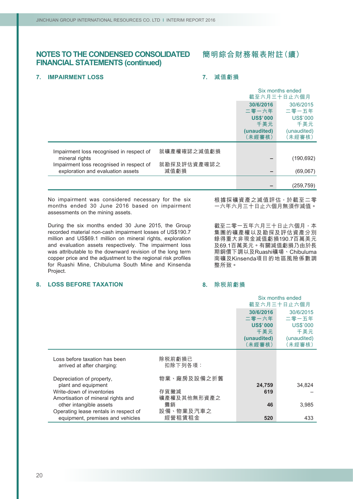# **簡明綜合財務報表附註(續)**

### **7. IMPAIRMENT LOSS**

### **7. 減值虧損**

|                                                                               |                     | Six months ended<br>截至六月三十日止六個月 |                 |
|-------------------------------------------------------------------------------|---------------------|---------------------------------|-----------------|
|                                                                               |                     | 30/6/2016                       | 30/6/2015       |
|                                                                               |                     | 二零一六年                           | 二零一五年           |
|                                                                               |                     | <b>US\$'000</b>                 | <b>US\$'000</b> |
|                                                                               |                     | 千美元                             | 千美元             |
|                                                                               |                     | (unaudited)                     | (unaudited)     |
|                                                                               |                     | (未經審核)                          | (未經審核)          |
| Impairment loss recognised in respect of                                      | 就礦產權確認之減值虧損         |                                 |                 |
| mineral rights                                                                |                     |                                 | (190, 692)      |
| Impairment loss recognised in respect of<br>exploration and evaluation assets | 就勘探及評估資產確認之<br>減值虧損 |                                 | (69,067)        |
|                                                                               |                     |                                 | (259, 759)      |

No impairment was considered necessary for the six months ended 30 June 2016 based on impairment assessments on the mining assets.

During the six months ended 30 June 2015, the Group recorded material non-cash impairment losses of US\$190.7 million and US\$69.1 million on mineral rights, exploration and evaluation assets respectively. The impairment loss was attributable to the downward revision of the long term copper price and the adjustment to the regional risk profiles for Ruashi Mine, Chibuluma South Mine and Kinsenda Project.

#### **8. LOSS BEFORE TAXATION**

根據採礦資產之減值評估,於截至二零 一六年六月三十日止六個月無須作減值。

截至二零一五年六月三十日止六個月,本 集團的礦產權以及勘探及評估資產分別 錄得重大非現金減值虧損190.7百萬美元 及69.1百萬美元。有關減值虧損乃由於長 期銅價下調以及Ruashi礦場、Chibuluma 南礦及Kinsenda項目的地區風險係數調 整所致。

### **8. 除稅前虧損**

|                                                                           |                     |                        | Six months ended<br>截至六月三十日止六個月 |
|---------------------------------------------------------------------------|---------------------|------------------------|---------------------------------|
|                                                                           |                     | 30/6/2016<br>二零一六年     | 30/6/2015<br>二零一五年              |
|                                                                           |                     | <b>US\$'000</b><br>千美元 | <b>US\$'000</b><br>千美元          |
|                                                                           |                     | (unaudited)<br>(未經審核)  | (unaudited)<br>(未經審核)           |
| Loss before taxation has been<br>arrived at after charging:               | 除税前虧損已<br>扣除下列各項:   |                        |                                 |
| Depreciation of property,<br>plant and equipment                          | 物業、廠房及設備之折舊         | 24,759                 | 34,824                          |
| Write-down of inventories                                                 | 存貨撇減                | 619                    |                                 |
| Amortisation of mineral rights and<br>other intangible assets             | 礦產權及其他無形資產之<br>攤銷   | 46                     | 3,985                           |
| Operating lease rentals in respect of<br>equipment, premises and vehicles | 設備、物業及汽車之<br>經營租賃租金 | 520                    | 433                             |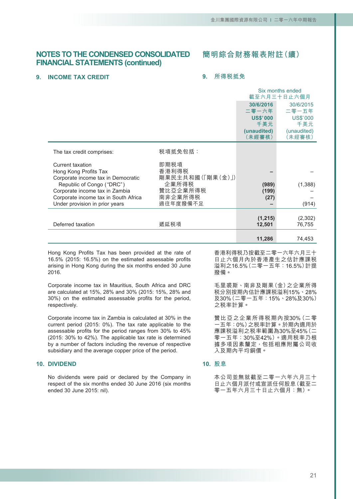# **簡明綜合財務報表附註(續)**

#### **9. INCOME TAX CREDIT**

### **9. 所得稅抵免**

|                                                                 |                           | Six months ended<br>截至六月三十日止六個月 |                          |
|-----------------------------------------------------------------|---------------------------|---------------------------------|--------------------------|
|                                                                 |                           | 30/6/2016                       | 30/6/2015                |
|                                                                 |                           | 二零一六年<br><b>US\$'000</b>        | 二零一五年<br><b>US\$'000</b> |
|                                                                 |                           | 千美元                             | 千美元                      |
|                                                                 |                           | (unaudited)<br>(未經審核)           | (unaudited)<br>(未經審核)    |
| The tax credit comprises:                                       | 税項抵免包括:                   |                                 |                          |
| Current taxation                                                | 即期税項                      |                                 |                          |
| Hong Kong Profits Tax                                           | 香港利得税                     |                                 |                          |
| Corporate income tax in Democratic<br>Republic of Congo ("DRC") | 剛果民主共和國(「剛果(金)」)<br>企業所得税 | (989)                           | (1, 388)                 |
| Corporate income tax in Zambia                                  | 贊比亞企業所得税                  | (199)                           |                          |
| Corporate income tax in South Africa                            | 南非企業所得税                   | (27)                            |                          |
| Under provision in prior years                                  | 過往年度撥備不足                  |                                 | (914)                    |
|                                                                 |                           | (1,215)                         | (2,302)                  |
| Deferred taxation                                               | 遞延税項                      | 12,501                          | 76,755                   |
|                                                                 |                           |                                 |                          |
|                                                                 |                           | 11,286                          | 74,453                   |

Hong Kong Profits Tax has been provided at the rate of 16.5% (2015: 16.5%) on the estimated assessable profits arising in Hong Kong during the six months ended 30 June 2016.

Corporate income tax in Mauritius, South Africa and DRC are calculated at 15%, 28% and 30% (2015: 15%, 28% and 30%) on the estimated assessable profits for the period, respectively.

Corporate income tax in Zambia is calculated at 30% in the current period (2015: 0%). The tax rate applicable to the assessable profits for the period ranges from 30% to 45% (2015: 30% to 42%). The applicable tax rate is determined by a number of factors including the revenue of respective subsidiary and the average copper price of the period.

#### **10. DIVIDEND**

No dividends were paid or declared by the Company in respect of the six months ended 30 June 2016 (six months ended 30 June 2015: nil).

香港利得稅乃按截至二零一六年六月三十 日止六個月內於香港產生之估計應課稅 溢利之16.5%(二零一五年:16.5%)計提 撥備。

毛里裘斯、南非及剛果(金)之企業所得 稅分別按期內估計應課稅溢利15%、28% 及30%(二零一五年:15%、28%及30%) 之稅率計算。

贊比亞之企業所得稅期內按30%(二零 一五年:0%)之稅率計算。於期內適用於 應課稅溢利之稅率範圍為30%至45%(二 零一五年:30%至42%)。適用稅率乃根 據多項因素釐定,包括相應附屬公司收 入及期內平均銅價。

### **10. 股息**

本公司並無就截至二零一六年六月三十 日止六個月派付或宣派任何股息(截至二 零一五年六月三十日止六個月:無)。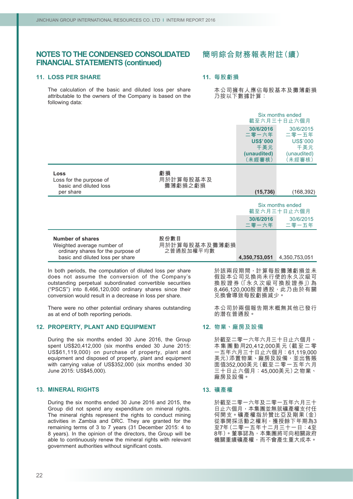#### **11. LOSS PER SHARE**

The calculation of the basic and diluted loss per share attributable to the owners of the Company is based on the following data:

# **簡明綜合財務報表附註(續)**

# **11. 每股虧損**

本公司擁有人應佔每股基本及攤薄虧捐 乃按以下數據計算:

|                                                                                                               |                                    |                        | Six months ended<br>截至六月三十日止六個月 |
|---------------------------------------------------------------------------------------------------------------|------------------------------------|------------------------|---------------------------------|
|                                                                                                               |                                    | 30/6/2016<br>二零一六年     | 30/6/2015<br>二零一五年              |
|                                                                                                               |                                    | <b>US\$'000</b><br>千美元 | <b>US\$'000</b><br>千美元          |
|                                                                                                               |                                    | (unaudited)<br>(未經審核)  | (unaudited)<br>(未經審核)           |
| Loss<br>Loss for the purpose of<br>basic and diluted loss                                                     | 虧損<br>用於計算每股基本及<br>攤薄虧損之虧損         |                        |                                 |
| per share                                                                                                     |                                    | (15, 736)              | (168, 392)                      |
|                                                                                                               |                                    |                        | Six months ended<br>截至六月三十日止六個月 |
|                                                                                                               |                                    | 30/6/2016<br>二零一六年     | 30/6/2015<br>二零一五年              |
| <b>Number of shares</b><br>Weighted average number of<br>ordinary shares for the purpose of                   | 股份數目<br>用於計算每股基本及攤薄虧損<br>之普通股加權平均數 |                        |                                 |
| basic and diluted loss per share                                                                              |                                    | 4,350,753,051          | 4,350,753,051                   |
| In both periods, the computation of diluted loss per share<br>does not assume the conversion of the Company's |                                    |                        | 於該兩段期間, 計算每股攤薄虧損並未              |

("PSCS") into 8,466,120,000 ordinary shares since their conversion would result in a decrease in loss per share.

outstanding perpetual subordinated convertible securities

There were no other potential ordinary shares outstanding as at end of both reporting periods.

# **12. PROPERTY, PLANT AND EQUIPMENT**

During the six months ended 30 June 2016, the Group spent US\$20,412,000 (six months ended 30 June 2015: US\$61,119,000) on purchase of property, plant and equipment and disposed of property, plant and equipment with carrying value of US\$352,000 (six months ended 30 June 2015: US\$45,000).

#### **13. MINERAL RIGHTS**

During the six months ended 30 June 2016 and 2015, the Group did not spend any expenditure on mineral rights. The mineral rights represent the rights to conduct mining activities in Zambia and DRC. They are granted for the remaining terms of 3 to 7 years (31 December 2015: 4 to 8 years). In the opinion of the directors, the Group will be able to continuously renew the mineral rights with relevant government authorities without significant costs.

換股證券(「永久次級可換股證券」)為 8,466,120,000股普通股,此乃由於有關 兌換會導致每股虧損減少。

本公司於兩個報告期末概無其他已發行 的潛在普通股。

#### **12. 物業、廠房及設備**

於截至二零一六年六月三十日止六個月, 本集團動用20,412,000美元(截至二零 一五年六月三十日止六個月:61,119,000 美元)添置物業、廠房及設備,並出售賬 面值352,000美元(截至二零一五年六月 三十日止六個月:45,000美元)之物業、 廠房及設備。

#### **13. 礦產權**

於截至二零一六年及二零一五年六月三十 日止六個月,本集團並無就礦產權支付任 何開支。礦產權指於贊比亞及剛果(金) 從事開採活動之權利,獲授餘下年期為3 至7年(二零一五年十二月三十一日:4至 8年)。董事認為,本集團將可向相關政府 機關重續礦產權,而不會產生重大成本。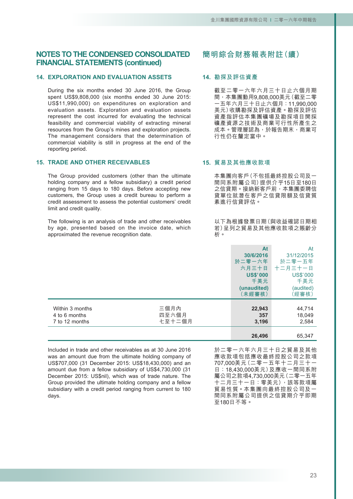# **14. EXPLORATION AND EVALUATION ASSETS**

During the six months ended 30 June 2016, the Group spent US\$9,808,000 (six months ended 30 June 2015: US\$11,990,000) on expenditures on exploration and evaluation assets. Exploration and evaluation assets represent the cost incurred for evaluating the technical feasibility and commercial viability of extracting mineral resources from the Group's mines and exploration projects. The management considers that the determination of commercial viability is still in progress at the end of the reporting period.

### **15. TRADE AND OTHER RECEIVABLES**

The Group provided customers (other than the ultimate holding company and a fellow subsidiary) a credit period ranging from 15 days to 180 days. Before accepting new customers, the Group uses a credit bureau to perform a credit assessment to assess the potential customers' credit limit and credit quality.

The following is an analysis of trade and other receivables by age, presented based on the invoice date, which approximated the revenue recognition date.

# **簡明綜合財務報表附註(續)**

### **14. 勘探及評估資產**

截至二零一六年六月三十日止六個月期 間,本集團動用9,808,000美元(截至二零 一五年六月三十日止六個月:11,990,000 美元)收購勘探及評估資產。勘探及評估 資產指評估本集團礦場及勘探項目開採 礦產資源之技術及商業可行性所產生之 成本。管理層認為,於報告期末,商業可 行性仍在釐定當中。

### **15. 貿易及其他應收款項**

本集團向客戶(不包括最終控股公司及一 間同系附屬公司)提供介乎15日至180日 之信貸期。接納新客戶前,本集團委聘信 貸單位就潛在客戶之信貸限額及信貸質 素進行信貸評估。

以下為根據發票日期(與收益確認日期相 若)呈列之貿易及其他應收款項之賬齡分 析。

|                                                    |                         | At<br>30/6/2016<br>於二零一六年<br>六月三十日<br><b>US\$'000</b><br>千美元<br>(unaudited)<br>(未經審核) | At<br>31/12/2015<br>於二零一五年<br>十二月三十一日<br><b>US\$'000</b><br>千美元<br>(audited)<br>(經審核) |
|----------------------------------------------------|-------------------------|---------------------------------------------------------------------------------------|---------------------------------------------------------------------------------------|
| Within 3 months<br>4 to 6 months<br>7 to 12 months | 三個月內<br>四至六個月<br>七至十二個月 | 22,943<br>357<br>3,196                                                                | 44,714<br>18,049<br>2,584                                                             |
|                                                    |                         | 26.496                                                                                | 65.347                                                                                |

Included in trade and other receivables as at 30 June 2016 was an amount due from the ultimate holding company of US\$707,000 (31 December 2015: US\$18,430,000) and an amount due from a fellow subsidiary of US\$4,730,000 (31 December 2015: US\$nil), which was of trade nature. The Group provided the ultimate holding company and a fellow subsidiary with a credit period ranging from current to 180 days.

於二零一六年六月三十日之貿易及其他 應收款項包括應收最終控股公司之款項 707,000美元(二零一五年十二月三十一 日:18,430,000美元)及應收一間同系附 屬公司之款項4,730,000美元(二零一五年 十二月三十一日:零美元),該等款項屬 貿易性質。本集團向最終控股公司及一 間同系附屬公司提供之信貸期介乎即期 至180日不等。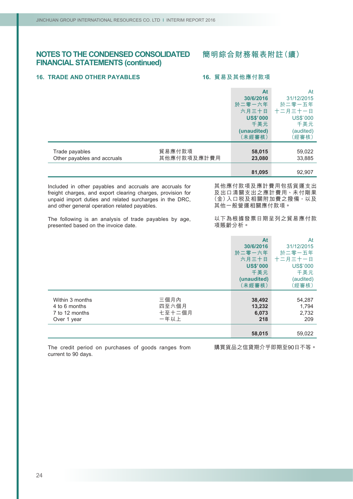# **16. TRADE AND OTHER PAYABLES**

### **16. 貿易及其他應付款項**

|                                                                                                                                                                                                                                                                                                                                       |                                 | At<br>30/6/2016<br>於二零一六年<br>六月三十日<br><b>US\$'000</b><br>千美元<br>(unaudited)<br>(未經審核)        | At<br>31/12/2015<br>於二零一五年<br>十二月三十一日<br><b>US\$'000</b><br>千美元<br>(audited)<br>(經審核) |
|---------------------------------------------------------------------------------------------------------------------------------------------------------------------------------------------------------------------------------------------------------------------------------------------------------------------------------------|---------------------------------|----------------------------------------------------------------------------------------------|---------------------------------------------------------------------------------------|
| Trade payables<br>Other payables and accruals                                                                                                                                                                                                                                                                                         | 貿易應付款項<br>其他應付款項及應計費用           | 58,015<br>23,080                                                                             | 59,022<br>33,885                                                                      |
|                                                                                                                                                                                                                                                                                                                                       |                                 | 81,095                                                                                       | 92,907                                                                                |
| Included in other payables and accruals are accruals for<br>freight charges, and export clearing charges, provision for<br>unpaid import duties and related surcharges in the DRC,<br>and other general operation related payables.<br>The following is an analysis of trade payables by age,<br>presented based on the invoice date. |                                 | 其他一般營運相關應付款項。<br>項賬齡分析。                                                                      | 其他應付款項及應計費用包括貨運支出<br>及出口清關支出之應計費用、未付剛果<br>(金)入口税及相關附加費之撥備,以及<br>以下為根據發票日期呈列之貿易應付款     |
|                                                                                                                                                                                                                                                                                                                                       |                                 | <b>At</b><br>30/6/2016<br>於二零一六年<br>六月三十日<br><b>US\$'000</b><br>千美元<br>(unaudited)<br>(未經審核) | At<br>31/12/2015<br>於二零一五年<br>十二月三十一日<br><b>US\$'000</b><br>千美元<br>(audited)<br>(經審核) |
| Within 3 months<br>4 to 6 months<br>7 to 12 months<br>Over 1 year                                                                                                                                                                                                                                                                     | 三個月內<br>四至六個月<br>七至十二個月<br>一年以上 | 38,492<br>13,232<br>6,073<br>218                                                             | 54,287<br>1,794<br>2,732<br>209                                                       |
|                                                                                                                                                                                                                                                                                                                                       |                                 | 58,015                                                                                       | 59,022                                                                                |

The credit period on purchases of goods ranges from current to 90 days.

購買貨品之信貸期介乎即期至90日不等。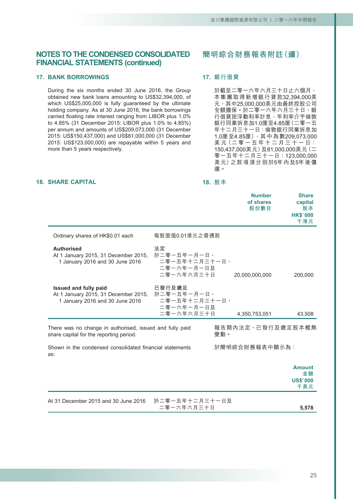# **17. BANK BORROWINGS**

**18. SHARE CAPITAL**

During the six months ended 30 June 2016, the Group obtained new bank loans amounting to US\$32,394,000, of which US\$25,000,000 is fully guaranteed by the ultimate holding company. As at 30 June 2016, the bank borrowings carried floating rate interest ranging from LIBOR plus 1.0% to 4.85% (31 December 2015: LIBOR plus 1.0% to 4.85%) per annum and amounts of US\$209,073,000 (31 December 2015: US\$150,437,000) and US\$81,000,000 (31 December 2015: US\$123,000,000) are repayable within 5 years and more than 5 years respectively.

# **簡明綜合財務報表附註(續)**

# **17. 銀行借貸**

於截至二零一六年六月三十日止六個月, 本集團取得新增銀行貸款32,394,000美 元,其中25,000,000美元由最終控股公司 全額擔保。於二零一六年六月三十日,銀 行借貸按浮動利率計息,年利率介乎倫敦 銀行同業拆息加1.0厘至4.85厘(二零一五 年十二月三十一日:倫敦銀行同業拆息加 1.0厘至4.85厘),其中為數209,073,000 美元 (二零一五年十二月三十一日: 150,437,000美元)及81,000,000美元(二 零一五年十二月三十一日:123,000,000 美元)之款項須分別於5年內及5年後償 還。

#### **18. 股本**

|                                                                                                         |                                                                    | <b>Number</b><br>of shares<br>股份數目 | <b>Share</b><br>capital<br>股本<br><b>HK\$'000</b><br>千港元 |
|---------------------------------------------------------------------------------------------------------|--------------------------------------------------------------------|------------------------------------|---------------------------------------------------------|
| Ordinary shares of HK\$0.01 each                                                                        | 每股面值0.01港元之普通股                                                     |                                    |                                                         |
| <b>Authorised</b><br>At 1 January 2015, 31 December 2015,<br>1 January 2016 and 30 June 2016            | 法定<br>於二零一五年一月一日、<br>二零一五年十二月三十一日、<br>二零一六年一月一日及<br>二零一六年六月三十日     | 20,000,000,000                     | 200,000                                                 |
| <b>Issued and fully paid</b><br>At 1 January 2015, 31 December 2015,<br>1 January 2016 and 30 June 2016 | 已發行及繳足<br>於二零一五年一月一日、<br>二零一五年十二月三十一日、<br>二零一六年一月一日及<br>二零一六年六月三十日 | 4,350,753,051                      | 43,508                                                  |
| There was no change in authorised, issued and fully paid<br>share capital for the reporting period.     |                                                                    | 報告期內法定、已發行及繳足股本概無<br>變動。           |                                                         |
| Shown in the condensed consolidated financial statements<br>as:                                         |                                                                    | 於簡明綜合財務報表中顯示為:                     |                                                         |
|                                                                                                         |                                                                    |                                    | <b>Amount</b><br>金額<br><b>US\$'000</b><br>千美元           |
| At 31 December 2015 and 30 June 2016                                                                    | 於二零一五年十二月三十一日及<br>二零一六年六月三十日                                       |                                    | 5,578                                                   |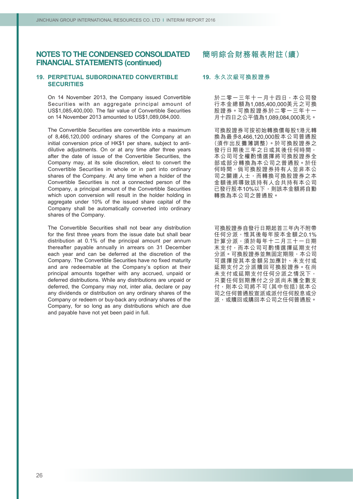# **19. PERPETUAL SUBORDINATED CONVERTIBLE SECURITIES**

On 14 November 2013, the Company issued Convertible Securities with an aggregate principal amount of US\$1,085,400,000. The fair value of Convertible Securities on 14 November 2013 amounted to US\$1,089,084,000.

The Convertible Securities are convertible into a maximum of 8,466,120,000 ordinary shares of the Company at an initial conversion price of HK\$1 per share, subject to antidilutive adjustments. On or at any time after three years after the date of issue of the Convertible Securities, the Company may, at its sole discretion, elect to convert the Convertible Securities in whole or in part into ordinary shares of the Company. At any time when a holder of the Convertible Securities is not a connected person of the Company, a principal amount of the Convertible Securities which upon conversion will result in the holder holding in aggregate under 10% of the issued share capital of the Company shall be automatically converted into ordinary shares of the Company.

The Convertible Securities shall not bear any distribution for the first three years from the issue date but shall bear distribution at 0.1% of the principal amount per annum thereafter payable annually in arrears on 31 December each year and can be deferred at the discretion of the Company. The Convertible Securities have no fixed maturity and are redeemable at the Company's option at their principal amounts together with any accrued, unpaid or deferred distributions. While any distributions are unpaid or deferred, the Company may not, inter alia, declare or pay any dividends or distribution on any ordinary shares of the Company or redeem or buy-back any ordinary shares of the Company, for so long as any distributions which are due and payable have not yet been paid in full.

# **簡明綜合財務報表附註(續)**

### **19. 永久次級可換股證券**

於二零一三年十一月十四日,本公司發 行本金總額為1,085,400,000美元之可換 股證券。可換股證券於二零一三年十一 月十四日之公平值為1,089,084,000美元。

可換股證券可按初始轉換價每股1港元轉 換為最多8,466,120,000股本公司普通股 (須作出反攤薄調整)。於可換股證券之 發行日期後三年之日或其後任何時間, 本公司可全權酌情選擇將可換股證券全 部或部分轉換為本公司之普通股。於任 何時間,倘可換股證券持有人並非本公 司之關連人士,而轉換可換股證券之本 金額後將導致該持有人合共持有本公司 已發行股本10%以下,則該本金額將自動 轉換為本公司之普通股。

可換股證券自發行日期起首三年內不附帶 任何分派,惟其後每年按本金額之0.1% 計算分派,須於每年十二月三十一日期 末支付,而本公司可酌情選擇延期支付 分派。可換股證券並無固定期限,本公司 可選擇按其本金額另加應計、未支付或 延期支付之分派贖回可換股證券。在尚 未支付或延期支付任何分派之情況下, 只要任何到期應付之分派尚未獲全數支 付,則本公司將不可(其中包括)就本公 司之任何普通股宣派或派付任何股息或分 派,或贖回或購回本公司之任何普通股。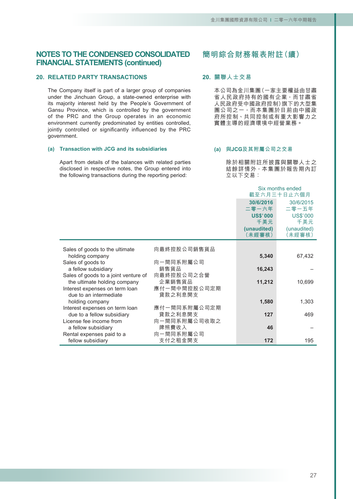### **20. RELATED PARTY TRANSACTIONS**

The Company itself is part of a larger group of companies under the Jinchuan Group, a state-owned enterprise with its majority interest held by the People's Government of Gansu Province, which is controlled by the government of the PRC and the Group operates in an economic environment currently predominated by entities controlled, jointly controlled or significantly influenced by the PRC government.

#### **(a) Transaction with JCG and its subsidiaries**

Apart from details of the balances with related parties disclosed in respective notes, the Group entered into the following transactions during the reporting period:

# **簡明綜合財務報表附註(續)**

### **20. 關聯人士交易**

本公司為金川集團(一家主要權益由甘肅 省人民政府持有的國有企業,而甘肅省 人民政府受中國政府控制)旗下的大型集 團公司之一,而本集團於目前由中國政 府所控制、共同控制或有重大影響力之 實體主導的經濟環境中經營業務。

### **(a) 與JCG及其附屬公司之交易**

除於相關附註所披露與關聯人士之 結餘詳情外,本集團於報告期內訂 立以下交易:

Six months ended 截至六月三十日止六個月 **30/6/2016** 30/6/2015<br><sub>-</sub> 零一六年 二零一五年 **二零一六年** 二零一五年 **US\$'000** US\$'000<br>千美元 千美元 **千美元** 千美元 **(unaudited)** (unaudited)<br>(未經審核) (未經審核) **(未經審核)** (未經審核) Sales of goods to the ultimate 向最終控股公司銷售貨品 holding company **5,340** 67,432 Sales of goods to 向一間同系附屬公司<br>a fellow subsidiary 銷售貨品 a fellow subsidiary 銷售貨品 **16,243**<br>ales of goods to a joint venture of 向最終控股公司之合營 Sales of goods to a joint venture of 向最終控股公司<br>the ultimate holding company 企業銷售貨品 the ultimate holding company 企業銷售貨品 **11,212** 10,699<br>terest expenses on term loan 應付一間中間控股公司定期 Interest expenses on term loan 應付一間中間控股<br>due to an intermediate 貸款之利息開支 due to an intermediate holding company **1,580** 1,303 Interest expenses on term loan 應付一間同系附屬<br>
due to a fellow subsidiary 貸款之利息開支 due to a fellow subsidiary 貸款之利息開支 **127** 469<br>License fee income from 向一間同系附屬公司收取之 向一間同系附屬公司收取之<br> 牌照費收入 a fellow subsidiary 牌照費收入<br>ental expenses paid to a 向一間同系附屬公司 **46** Rental expenses paid to a fellow subsidiary 支付之租金開支 **172** 195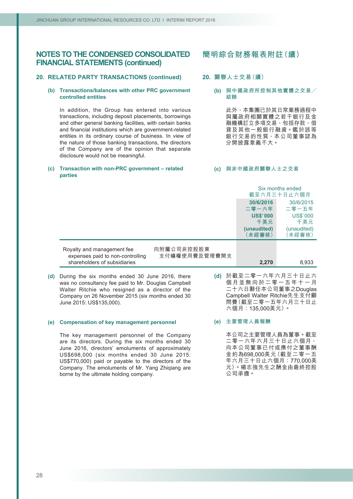# **20. RELATED PARTY TRANSACTIONS (continued)**

#### **(b) Transactions/balances with other PRC government controlled entities**

In addition, the Group has entered into various transactions, including deposit placements, borrowings and other general banking facilities, with certain banks and financial institutions which are government-related entities in its ordinary course of business. In view of the nature of those banking transactions, the directors of the Company are of the opinion that separate disclosure would not be meaningful.

#### **(c) Transaction with non-PRC government – related parties**

# **簡明綜合財務報表附註(續)**

# **20. 關聯人士交易(續)**

**(b) 與中國政府所控制其他實體之交易╱ 結餘**

> 此外,本集團已於其日常業務過程中 與屬政府相關實體之若干銀行及金 融機構訂立多項交易,包括存款、借 貸及其他一般銀行融資。鑑於該等 銀行交易的性質,本公司董事認為 分開披露意義不大。

#### **(c) 與非中國政府關聯人士之交易**

|                                                                |                             | Six months ended<br>截至六月三十日止六個月 |                        |
|----------------------------------------------------------------|-----------------------------|---------------------------------|------------------------|
|                                                                |                             | 30/6/2016<br>二零一六年              | 30/6/2015<br>二零一五年     |
|                                                                |                             | <b>US\$'000</b><br>千美元          | <b>US\$'000</b><br>千美元 |
|                                                                |                             | (unaudited)<br>〔未經審核〕           | (unaudited)<br>(未經審核)  |
| Royalty and management fee<br>expenses paid to non-controlling | 向附屬公司非控股股東<br>支付礦權使用費及管理費開支 |                                 |                        |
| shareholders of subsidiaries                                   |                             | 2,270                           | 8,933                  |

**(d)** During the six months ended 30 June 2016, there was no consultancy fee paid to Mr. Douglas Campbell Walter Ritchie who resigned as a director of the Company on 26 November 2015 (six months ended 30 June 2015: US\$135,000).

#### **(e) Compensation of key management personnel**

The key management personnel of the Company are its directors. During the six months ended 30 June 2016, directors' emoluments of approximately US\$698,000 (six months ended 30 June 2015: US\$770,000) paid or payable to the directors of the Company. The emoluments of Mr. Yang Zhiqiang are borne by the ultimate holding company.

**(d)** 於截至二零一六年六月三十日止六 個月並無向於二零一五年十一月 二十六日辭任本公司董事之Douglas Campbell Walter Ritchie先生支付顧 問費(截至二零一五年六月三十日止 六個月:135,000美元)。

#### **(e) 主要管理人員報酬**

本公司之主要管理人員為董事。截至 二零一六年六月三十日止六個月, 向本公司董事已付或應付之董事酬 金約為698,000美元(截至二零一五 年六月三十日止六個月:770,000美 元)。楊志強先生之酬金由最終控股 公司承擔。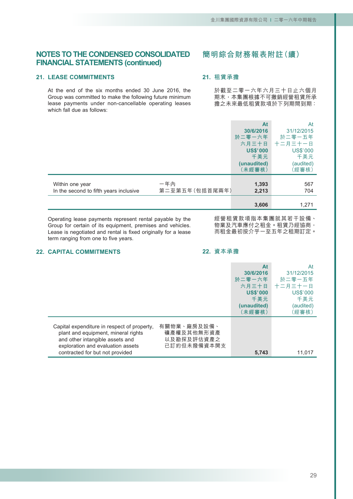# **21. LEASE COMMITMENTS**

At the end of the six months ended 30 June 2016, the Group was committed to make the following future minimum lease payments under non-cancellable operating leases which fall due as follows:

# **簡明綜合財務報表附註(續)**

# **21. 租賃承擔**

於截至二零一六年六月三十日止六個月 期末,本集團根據不可撤銷經營租賃所承 擔之未來最低租賃款項於下列期間到期:

|                                                           |                       | At<br>30/6/2016<br>於二零一六年<br>六月三十日<br><b>US\$'000</b><br>千美元<br>(unaudited)<br>(未經審核) | At<br>31/12/2015<br>於二零一五年<br>十二月三十一日<br><b>US\$'000</b><br>千美元<br>(audited)<br>(經審核) |
|-----------------------------------------------------------|-----------------------|---------------------------------------------------------------------------------------|---------------------------------------------------------------------------------------|
| Within one year<br>In the second to fifth years inclusive | 一年內<br>第二至第五年(包括首尾兩年) | 1,393<br>2,213                                                                        | 567<br>704                                                                            |
|                                                           |                       | 3,606                                                                                 | 1,271                                                                                 |

Operating lease payments represent rental payable by the Group for certain of its equipment, premises and vehicles. Lease is negotiated and rental is fixed originally for a lease term ranging from one to five years.

經營租賃款項指本集團就其若干設備、 物業及汽車應付之租金。租賃乃經協商, 而租金最初按介乎一至五年之租期訂定。

# **22. CAPITAL COMMITMENTS**

### **22. 資本承擔**

|                                                                                                                                                                                                                                                         | At<br>30/6/2016<br>於二零一六年<br>六月三十日<br><b>US\$'000</b><br>千美元<br>(unaudited)<br>〔未經審核〕 | At<br>31/12/2015<br>於二零一五年<br>十二月三十一日<br><b>US\$'000</b><br>千美元<br>(audited)<br>(經審核) |
|---------------------------------------------------------------------------------------------------------------------------------------------------------------------------------------------------------------------------------------------------------|---------------------------------------------------------------------------------------|---------------------------------------------------------------------------------------|
| 有關物業、廠房及設備、<br>Capital expenditure in respect of property,<br>礦產權及其他無形資產<br>plant and equipment, mineral rights<br>以及勘探及評估資產之<br>and other intangible assets and<br>已訂約但未撥備資本開支<br>exploration and evaluation assets<br>contracted for but not provided | 5,743                                                                                 | 11.017                                                                                |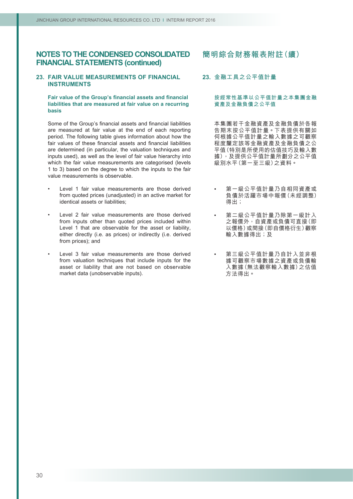### **23. FAIR VALUE MEASUREMENTS OF FINANCIAL INSTRUMENTS**

#### **Fair value of the Group's financial assets and financial liabilities that are measured at fair value on a recurring basis**

Some of the Group's financial assets and financial liabilities are measured at fair value at the end of each reporting period. The following table gives information about how the fair values of these financial assets and financial liabilities are determined (in particular, the valuation techniques and inputs used), as well as the level of fair value hierarchy into which the fair value measurements are categorised (levels 1 to 3) based on the degree to which the inputs to the fair value measurements is observable.

- Level 1 fair value measurements are those derived from quoted prices (unadjusted) in an active market for identical assets or liabilities;
- Level 2 fair value measurements are those derived from inputs other than quoted prices included within Level 1 that are observable for the asset or liability, either directly (i.e. as prices) or indirectly (i.e. derived from prices); and
- Level 3 fair value measurements are those derived from valuation techniques that include inputs for the asset or liability that are not based on observable market data (unobservable inputs).

# **簡明綜合財務報表附註(續)**

### **23. 金融工具之公平值計量**

#### **按經常性基準以公平值計量之本集團金融 資產及金融負債之公平值**

本集團若干金融資產及金融負債於各報 告期末按公平值計量。下表提供有關如 何根據公平值計量之輸入數據之可觀察 程度釐定該等金融資產及金融負債之公 平值(特別是所使用的估值技巧及輸入數 據),及提供公平值計量所劃分之公平值 級別水平(第一至三級)之資料。

- 第一級公平值計量乃自相同資產或 負債於活躍市場中報價(未經調整) 得出;
- 第二級公平值計量乃除第一級計入 之報價外,自資產或負債可直接(即 以價格)或間接(即自價格衍生)觀察 輸入數據得出;及
- 第三級公平值計量乃自計入並非根 據可觀察市場數據之資產或負債輸 入數據(無法觀察輸入數據)之估值 方法得出。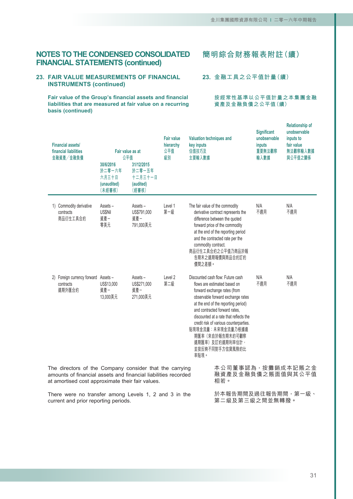# **23. FAIR VALUE MEASUREMENTS OF FINANCIAL INSTRUMENTS (continued)**

**Fair value of the Group's financial assets and financial liabilities that are measured at fair value on a recurring basis (continued)**

**簡明綜合財務報表附註(續)**

**23. 金融工具之公平值計量(續)**

**按經常性基準以公平值計量之本集團金融 資產及金融負債之公平值(續)**

| <b>Financial assets/</b><br>financial liabilities<br>金融資產/金融負債                                                                                                                | Fair value as at<br>公平值<br>30/6/2016<br>於二零一六年<br>六月三十日<br>(unaudited)<br>(未經審核) | 31/12/2015<br>於二零一五年<br>十二月三十一日<br>(audited)<br>(經審核) | <b>Fair value</b><br>hierarchy<br>公平值<br>級別 | Valuation techniques and<br>key inputs<br>估值技巧及<br>主要輸入數據 |                                                                                                                                                                                                                                                                                                                                                                                   | <b>Significant</b><br>unobservable<br>inputs<br>重要無法觀察<br>輸入數據 | <b>Relationship of</b><br>unobservable<br>inputs to<br>fair value<br>無法觀察輸入數據<br>與公平值之關係 |
|-------------------------------------------------------------------------------------------------------------------------------------------------------------------------------|----------------------------------------------------------------------------------|-------------------------------------------------------|---------------------------------------------|-----------------------------------------------------------|-----------------------------------------------------------------------------------------------------------------------------------------------------------------------------------------------------------------------------------------------------------------------------------------------------------------------------------------------------------------------------------|----------------------------------------------------------------|------------------------------------------------------------------------------------------|
| 1) Commodity derivative<br>contracts<br>商品衍生工具合約                                                                                                                              | Assets-<br><b>US\$Nil</b><br>資產-<br>零美元                                          | Assets –<br>US\$791,000<br>資產-<br>791,000美元           | Level 1<br>第一級                              | commodity contract.<br>價間之差額。                             | The fair value of the commodity<br>derivative contract represents the<br>difference between the quoted<br>forward price of the commodity<br>at the end of the reporting period<br>and the contracted rate per the<br>商品衍生工具合約之公平值乃商品於報<br>告期末之遠期報價與商品合約訂約                                                                                                                         | N/A<br>不適用                                                     | N/A<br>不適用                                                                               |
| 2) Foreign currency forward Assets -<br>contracts<br>遠期外匯合約                                                                                                                   | US\$13,000<br>資產一<br>13,000美元                                                    | Assets-<br>US\$271,000<br>資產-<br>271,000美元            | Level 2<br>第二級                              | 率貼現。                                                      | Discounted cash flow: Future cash<br>flows are estimated based on<br>forward exchange rates (from<br>observable forward exchange rates<br>at the end of the reporting period)<br>and contracted forward rates,<br>discounted at a rate that reflects the<br>credit risk of various counterparties.<br>貼現現金流量:未來現金流量乃根據遠<br>期匯率(來自於報告期末的可觀察<br>遠期匯率) 及訂約遠期利率估計,<br>並按反映不同對手方信貸風險的比 | N/A<br>不適用                                                     | N/A<br>不適用                                                                               |
| The directors of the Company consider that the carrying<br>amounts of financial assets and financial liabilities recorded<br>at amortised cost approximate their fair values. |                                                                                  |                                                       |                                             |                                                           | 本公司董事認為, 按攤銷成本記賬之金<br>融資產及金融負債之賬面值與其公平值<br>相若。                                                                                                                                                                                                                                                                                                                                    |                                                                |                                                                                          |
| There were no transfer among Levels 1, 2 and 3 in the<br>current and prior reporting periods.                                                                                 |                                                                                  |                                                       |                                             |                                                           | 於本報告期間及過往報告期間,第一級、<br>第二級及第三級之間並無轉撥。                                                                                                                                                                                                                                                                                                                                              |                                                                |                                                                                          |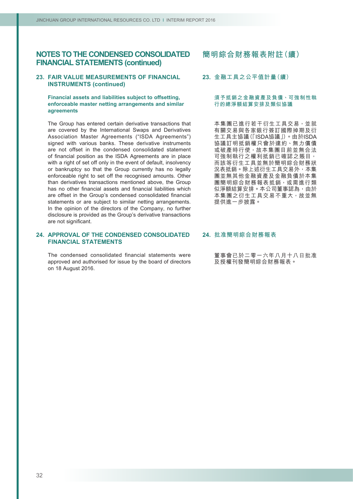### **23. FAIR VALUE MEASUREMENTS OF FINANCIAL INSTRUMENTS (continued)**

#### **Financial assets and liabilities subject to offsetting, enforceable master netting arrangements and similar agreements**

The Group has entered certain derivative transactions that are covered by the International Swaps and Derivatives Association Master Agreements ("ISDA Agreements") signed with various banks. These derivative instruments are not offset in the condensed consolidated statement of financial position as the ISDA Agreements are in place with a right of set off only in the event of default, insolvency or bankruptcy so that the Group currently has no legally enforceable right to set off the recognised amounts. Other than derivatives transactions mentioned above, the Group has no other financial assets and financial liabilities which are offset in the Group's condensed consolidated financial statements or are subject to similar netting arrangements. In the opinion of the directors of the Company, no further disclosure is provided as the Group's derivative transactions are not significant.

### **24. APPROVAL OF THE CONDENSED CONSOLIDATED FINANCIAL STATEMENTS**

The condensed consolidated financial statements were approved and authorised for issue by the board of directors on 18 August 2016.

### **簡明綜合財務報表附註(續)**

### **23. 金融工具之公平值計量(續)**

#### **須予抵銷之金融資產及負債、可強制性執 行的總淨額結算安排及類似協議**

本集團已進行若干衍生工具交易,並就 有關交易與各家銀行簽訂國際掉期及衍 生工具主協議(「ISDA協議」)。由於ISDA 協議訂明抵銷權只會於違約、無力償債 或破產時行使,故本集團目前並無合法 可強制執行之權利抵銷已確認之賬目, 而該等衍生工具並無於簡明綜合財務狀 況表抵銷。除上述衍生工具交易外,本集 團並無其他金融資產及金融負債於本集 團簡明綜合財務報表抵銷,或需進行類 似淨額結算安排。本公司董事認為,由於 本集團之衍生工具交易不重大,故並無 提供進一步披露。

#### **24. 批准簡明綜合財務報表**

董事會已於二零一六年八月十八日批准 及授權刊發簡明綜合財務報表。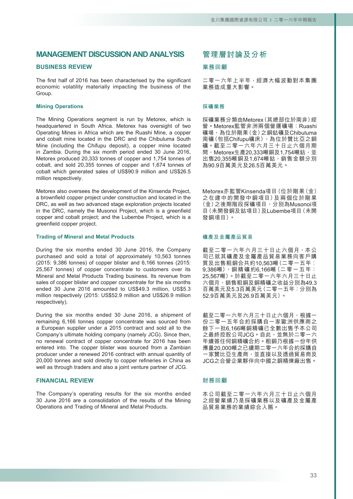# **MANAGEMENT DISCUSSION AND ANALYSIS**

### **BUSINESS REVIEW**

The first half of 2016 has been characterised by the significant economic volatility materially impacting the business of the Group.

### **Mining Operations**

The Mining Operations segment is run by Metorex, which is headquartered in South Africa. Metorex has oversight of two Operating Mines in Africa which are the Ruashi Mine, a copper and cobalt mine located in the DRC and the Chibuluma South Mine (including the Chifupu deposit), a copper mine located in Zambia. During the six month period ended 30 June 2016, Metorex produced 20,333 tonnes of copper and 1,754 tonnes of cobalt, and sold 20,355 tonnes of copper and 1,674 tonnes of cobalt which generated sales of US\$90.9 million and US\$26.5 million respectively.

Metorex also oversees the development of the Kinsenda Project, a brownfield copper project under construction and located in the DRC, as well as two advanced stage exploration projects located in the DRC, namely the Musonoi Project, which is a greenfield copper and cobalt project; and the Lubembe Project, which is a greenfield copper project.

#### **Trading of Mineral and Metal Products**

During the six months ended 30 June 2016, the Company purchased and sold a total of approximately 10,563 tonnes (2015: 9,386 tonnes) of copper blister and 6,166 tonnes (2015: 25,567 tonnes) of copper concentrate to customers over its Mineral and Metal Products Trading business. Its revenue from sales of copper blister and copper concentrate for the six months ended 30 June 2016 amounted to US\$49.3 million, US\$5.3 million respectively (2015: US\$52.9 million and US\$26.9 million respectively).

During the six months ended 30 June 2016, a shipment of remaining 6,166 tonnes copper concentrate was sourced from a European supplier under a 2015 contract and sold all to the Company's ultimate holding company (namely JCG). Since then, no renewal contract of copper concentrate for 2016 has been entered into. The copper blister was sourced from a Zambian producer under a renewed 2016 contract with annual quantity of 20,000 tonnes and sold directly to copper refineries in China as well as through traders and also a joint venture partner of JCG.

#### **FINANCIAL REVIEW**

The Company's operating results for the six months ended 30 June 2016 are a consolidation of the results of the Mining Operations and Trading of Mineral and Metal Products.

# **管理層討論及分析**

#### **業務回顧**

二零一六年上半年,經濟大幅波動對本集團 業務造成重大影響。

#### **採礦業務**

採礦業務分類由Metorex(其總部位於南非)經 營。Metorex監管非洲兩個營運礦場:Ruashi 礦場,為位於剛果(金)之銅鈷礦及Chibuluma 南礦(包括Chifupu礦床),為位於贊比亞之銅 礦。截至二零一六年六月三十日止六個月期 間, Metorex生產20,333噸銅及1,754噸鈷, 並 出售20,355噸銅及1,674噸鈷,銷售金額分別 為90.9百萬美元及26.5百萬美元。

Metorex亦監管Kinsenda項目(位於剛果(金) 之在建中的開發中銅項目)及兩個位於剛果 (金)之後期階段探礦項目,分別為Musonoi項 目(未開發銅及鈷項目)及Lubembe項目(未開 發銅項目)。

#### **礦產及金屬產品貿易**

截至二零一六年六月三十日止六個月,本公 司已就其礦產及金屬產品貿易業務向客戶購 買及出售粗銅合共約10,563噸(二零一五年:  $9,386$ 噸),銅精礦約6,166噸(二零一五年: 25,567噸)。於截至二零一六年六月三十日止 六個月,銷售粗銅及銅精礦之收益分別為49.3 百萬美元及5.3百萬美元(二零一五年:分別為 52.9百萬美元及26.9百萬美元)。

截至二零一六年六月三十日止六個月,根據一 份二零一五年合約採購自一家歐洲供應商之 餘下一批6,166噸銅精礦已全數出售予本公司 之最終控股公司JCG。自此,並無於二零一六 年續簽任何銅精礦合約。粗銅乃根據一份年供 應量20,000噸之已續期二零一六年合約採購自 一家贊比亞生產商,並直接以及透過貿易商及 JCG之合營企業夥伴向中國之銅精煉廠出售。

#### **財務回顧**

本公司截至二零一六年六月三十日止六個月 之經營業績乃是採礦業務以及礦產及金屬產 品貿易業務的業績綜合入賬。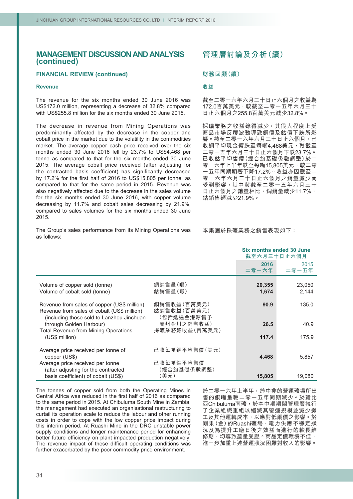### **FINANCIAL REVIEW (continued)**

#### **Revenue**

The revenue for the six months ended 30 June 2016 was US\$172.0 million, representing a decrease of 32.8% compared with US\$255.8 million for the six months ended 30 June 2015.

The decrease in revenue from Mining Operations was predominantly affected by the decrease in the copper and cobalt price in the market due to the volatility in the commodities market. The average copper cash price received over the six months ended 30 June 2016 fell by 23.7% to US\$4,468 per tonne as compared to that for the six months ended 30 June 2015. The average cobalt price received (after adjusting for the contracted basis coefficient) has significantly decreased by 17.2% for the first half of 2016 to US\$15,805 per tonne, as compared to that for the same period in 2015. Revenue was also negatively affected due to the decrease in the sales volume for the six months ended 30 June 2016, with copper volume decreasing by 11.7% and cobalt sales decreasing by 21.9%, compared to sales volumes for the six months ended 30 June 2015.

#### The Group's sales performance from its Mining Operations was as follows:

# **管理層討論及分析(續)**

#### **財務回顧(續)**

#### **收益**

截至二零一六年六月三十日止六個月之收益為 172.0百萬美元,較截至二零一五年六月三十 日止六個月之255.8百萬美元減少32.8%。

採礦業務之收益錄得減少, 其很大程度上受 商品市場反覆波動導致銅價及鈷價下跌所影 響。截至二零一六年六月三十日止六個月,已 收銅平均現金價跌至每噸4,468美元,較截至 二零一五年六月三十日止六個月下跌23.7%。 已收鈷平均售價(經合約基礎係數調整)於二 零一六年上半年跌至每噸15,805美元,較二零 一五年同期顯著下降17.2%。收益亦因截至二 零一六年六月三十日止六個月之銷量減少而 受到影響,其中與截至二零一五年六月三十 日止六個月之銷量相比,銅銷量減少11.7%, 鈷銷售額減少21.9%。

本集團於採礦業務之銷售表現如下:

|                                                                                                                                          |                                          | Six months ended 30 June<br>截至六月三十日止六個月 |                 |
|------------------------------------------------------------------------------------------------------------------------------------------|------------------------------------------|-----------------------------------------|-----------------|
|                                                                                                                                          |                                          | 2016<br>二零一六年                           | 2015<br>二零一五年   |
| Volume of copper sold (tonne)<br>Volume of cobalt sold (tonne)                                                                           | 銅銷售量(噸)<br>鈷銷售量(噸)                       | 20,355<br>1,674                         | 23,050<br>2,144 |
| Revenue from sales of copper (US\$ million)<br>Revenue from sales of cobalt (US\$ million)<br>(including those sold to Lanzhou Jinchuan) | 銅銷售收益(百萬美元)<br>鈷銷售收益(百萬美元)<br>(包括透過金港源售予 | 90.9                                    | 135.0           |
| through Golden Harbour)<br><b>Total Revenue from Mining Operations</b>                                                                   | 蘭州金川之銷售收益)<br>採礦業務總收益(百萬美元)              | 26.5                                    | 40.9            |
| (US\$ million)                                                                                                                           |                                          | 117.4                                   | 175.9           |
| Average price received per tonne of<br>copper (US\$)                                                                                     | 已收每噸銅平均售價(美元)                            | 4,468                                   | 5,857           |
| Average price received per tonne<br>(after adjusting for the contracted                                                                  | 已收每噸鈷平均售價<br>(經合約基礎係數調整)                 |                                         |                 |
| basis coefficient) of cobalt (US\$)                                                                                                      | (美元)                                     | 15,805                                  | 19,080          |

The tonnes of copper sold from both the Operating Mines in Central Africa was reduced in the first half of 2016 as compared to the same period in 2015. At Chibuluma South Mine in Zambia, the management had executed an organisational restructuring to curtail its operation scale to reduce the labour and other running costs in order to cope with the low copper price impact during this interim period. At Ruashi Mine in the DRC unstable power supply conditions and longer maintenance period for enhancing better future efficiency on plant impacted production negatively. The revenue impact of these difficult operating conditions was further exacerbated by the poor commodity price environment.

於二零一六年上半年,於中非的營運礦場所出 售的銅噸量較二零一五年同期減少。於贊比 亞Chibuluma南礦,於本中期期間管理層執行 了企業組織重組以縮減其營運規模並減少勞 工及其他運轉成本,以應對低銅價之影響。於 剛果(金)的Ruashi礦場,電力供應不穩定狀 況及為提升工廠日後之效益而進行的較長維 修期,均導致產量受壓。商品定價環境不佳, 進一步加重上述營運狀況困難對收入的影響。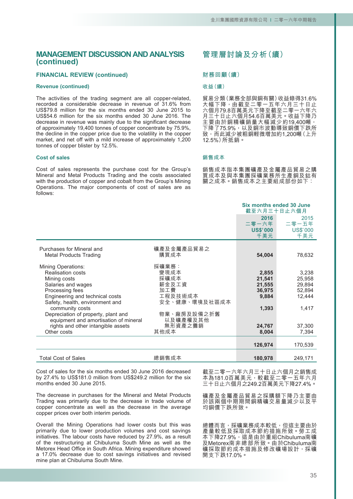### **FINANCIAL REVIEW (continued)**

#### **Revenue (continued)**

The activities of the trading segment are all copper-related, recorded a considerable decrease in revenue of 31.6% from US\$79.8 million for the six months ended 30 June 2015 to US\$54.6 million for the six months ended 30 June 2016. The decrease in revenue was mainly due to the significant decrease of approximately 19,400 tonnes of copper concentrate by 75.9%, the decline in the copper price due to the volatility in the copper market, and net off with a mild increase of approximately 1,200 tonnes of copper blister by 12.5%.

#### **Cost of sales**

Cost of sales represents the purchase cost for the Group's Mineral and Metal Products Trading and the costs associated with the production of copper and cobalt from the Group's Mining Operations. The major components of cost of sales are as follows:

# **管理層討論及分析(續)**

#### **財務回顧(續)**

#### **收益(續)**

貿易分類(業務全部與銅有關)收益錄得31.6% 大幅下降<sup>,</sup>由截至二零一五年六月三十日止 六個月79.8百萬美元下降至截至二零一六年六 月三十日止六個月54.6百萬美元。收益下降乃 主要由於銅精礦銷量大幅減少約19,400噸, 下降了75.9%,以及銅市波動導致銅價下跌所 致,而此減少被粗銅輕微增加約1,200噸(上升 12.5%)所抵銷。

#### **銷售成本**

銷售成本指本集團礦產及金屬產品貿易之購 買成本及與本集團採礦業務所生產銅及鈷有 關之成本。銷售成本之主要組成部份如下:

|                                                                                                                                                                                      |                                                                   | <b>Six months ended 30 June</b><br>截至六月三十日止六個月 |                                               |
|--------------------------------------------------------------------------------------------------------------------------------------------------------------------------------------|-------------------------------------------------------------------|------------------------------------------------|-----------------------------------------------|
|                                                                                                                                                                                      |                                                                   | 2016<br>二零一六年                                  | 2015<br>二零一五年                                 |
|                                                                                                                                                                                      |                                                                   | <b>US\$'000</b><br>千美元                         | <b>US\$'000</b><br>千美元                        |
| Purchases for Mineral and<br><b>Metal Products Trading</b>                                                                                                                           | 礦產及金屬產品貿易之<br>購買成本                                                | 54,004                                         | 78,632                                        |
| <b>Mining Operations:</b><br><b>Realisation costs</b><br>Mining costs<br>Salaries and wages<br>Processing fees<br>Engineering and technical costs<br>Safety, health, environment and | 採礦業務:<br>變現成本<br>採礦成本<br>薪金及工資<br>加工費<br>工程及技術成本<br>安全、健康、環境及社區成本 | 2,855<br>21,541<br>21,555<br>36,975<br>9,884   | 3,238<br>25,958<br>29,894<br>52,894<br>12,444 |
| community costs<br>Depreciation of property, plant and<br>equipment and amortisation of mineral<br>rights and other intangible assets<br>Other costs                                 | 物業、廠房及設備之折舊<br>以及礦產權及其他<br>無形資產之攤銷<br>其他成本                        | 1,393<br>24,767<br>8,004                       | 1,417<br>37,300<br>7,394                      |
|                                                                                                                                                                                      |                                                                   | 126,974                                        | 170,539                                       |
| <b>Total Cost of Sales</b>                                                                                                                                                           | 總銷售成本                                                             | 180,978                                        | 249,171                                       |

Cost of sales for the six months ended 30 June 2016 decreased by 27.4% to US\$181.0 million from US\$249.2 million for the six months ended 30 June 2015.

The decrease in purchases for the Mineral and Metal Products Trading was primarily due to the decrease in trade volume of copper concentrate as well as the decrease in the average copper prices over both interim periods.

Overall the Mining Operations had lower costs but this was primarily due to lower production volumes and cost savings initiatives. The labour costs have reduced by 27.9%, as a result of the restructuring at Chibuluma South Mine as well as the Metorex Head Office in South Africa. Mining expenditure showed a 17.0% decrease due to cost savings initiatives and revised mine plan at Chibuluma South Mine.

截至二零一六年六月三十日止六個月之銷售成 本為181.0百萬美元,較截至二零一五年六月 三十日止六個月之249.2百萬美元下降27.4%。

礦產及金屬產品貿易之採購額下降乃主要由 於該兩個中期期間銅精礦交易量減少以及平 均銅價下跌所致。

總體而言,採礦業務成本較低,但這主要由於 產量較低及採取成本節約措施所致。勞工成 本下降27.9%,這是由於重組Chibuluma南礦 及Metorex南非總部所致。由於Chibuluma南 礦採取節約成本措施及修改礦場設計,採礦 開支下跌17.0%。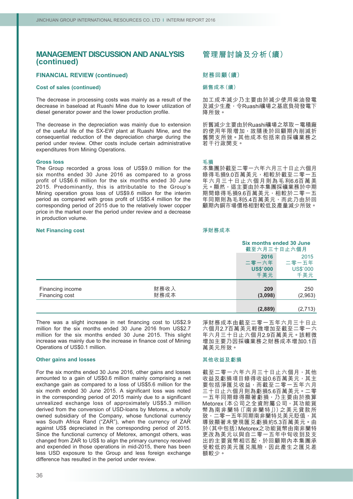### **FINANCIAL REVIEW (continued)**

#### **Cost of sales (continued)**

The decrease in processing costs was mainly as a result of the decrease in baseload at Ruashi Mine due to lower utilization of diesel generator power and the lower production profile.

The decrease in the depreciation was mainly due to extension of the useful life of the SX-EW plant at Ruashi Mine, and the consequential reduction of the depreciation charge during the period under review. Other costs include certain administrative expenditures from Mining Operations.

#### **Gross loss**

The Group recorded a gross loss of US\$9.0 million for the six months ended 30 June 2016 as compared to a gross profit of US\$6.6 million for the six months ended 30 June 2015. Predominantly, this is attributable to the Group's Mining operation gross loss of US\$9.6 million for the interim period as compared with gross profit of US\$5.4 million for the corresponding period of 2015 due to the relatively lower copper price in the market over the period under review and a decrease in production volume.

#### **Net Financing cost**

# **管理層討論及分析(續)**

### **財務回顧(續)**

#### **銷售成本(續)**

加工成本減少乃主要由於減少使用柴油發電 及減少生產,令Ruashi礦場之基底負荷發電下 降所致。

折舊減少主要由於Ruashi礦場之萃取-電積廠 的使用年限增加,故隨後於回顧期內削減折 舊開支所致。其他成本包括來自採礦業務之 若干行政開支。

#### **毛損**

本集團於截至二零一六年六月三十日止六個月 錄得毛損9.0百萬美元,相較於截至二零一五 年六月三十日止六個月則為毛利6.6百萬美 元。顯然,這主要由於本集團採礦業務於中期 期間錄得毛損9.6百萬美元,相較於二零一五 年同期則為毛利5.4百萬美元,而此乃由於回 顧期內銅市場價格相對較低及產量減少所致。

#### **淨財務成本**

|                                    |              |                        | <b>Six months ended 30 June</b><br>截至六月三十日止六個月 |  |
|------------------------------------|--------------|------------------------|------------------------------------------------|--|
|                                    |              | 2016<br>二零一六年          | 2015<br>二零一五年                                  |  |
|                                    |              | <b>US\$'000</b><br>千美元 | <b>US\$'000</b><br>千美元                         |  |
| Financing income<br>Financing cost | 財務收入<br>財務成本 | 209<br>(3,098)         | 250<br>(2,963)                                 |  |
|                                    |              | (2,889)                | (2,713)                                        |  |

There was a slight increase in net financing cost to US\$2.9 million for the six months ended 30 June 2016 from US\$2.7 million for the six months ended 30 June 2015. This slight increase was mainly due to the increase in finance cost of Mining Operations of US\$0.1 million.

#### **Other gains and losses**

For the six months ended 30 June 2016, other gains and losses amounted to a gain of US\$0.6 million mainly comprising a net exchange gain as compared to a loss of US\$5.6 million for the six month ended 30 June 2015. A significant loss was noted in the corresponding period of 2015 mainly due to a significant unrealized exchange loss of approximately US\$5.3 million derived from the conversion of USD-loans by Metorex, a wholly owned subsidiary of the Company, whose functional currency was South Africa Rand ("ZAR"), when the currency of ZAR against US\$ depreciated in the corresponding period of 2015. Since the functional currency of Metorex, amongst others, was changed from ZAR to US\$ to align the primary currency received and expended in those operations in mid-2015, there has been less USD exposure to the Group and less foreign exchange difference has resulted in the period under review.

淨財務成本由截至二零一五年六月三十日止 六個月2.7百萬美元輕微增加至截至二零一六 年六月三十日止六個月2.9百萬美元。該輕微 增加主要乃因採礦業務之財務成本增加0.1百 萬美元所致。

#### **其他收益及虧損**

截至二零一六年六月三十日止六個月,其他 收益及虧損項目錄得收益0.6百萬美元,其主 要包括淨匯兑收益,而截至二零一五年六月 三十日止六個月則為虧損5.6百萬美元。二零 一五年同期錄得顯著虧損,乃主要由於換算 Metorex(本公司之全資附屬公司,其功能貨 幣為南非蘭特(「南非蘭特」))之美元貸款所 致,二零一五年同期南非蘭特兑美元貶值,其 導致顯著未變現匯兌虧損約5.3百萬美元。由 於(其中包括)Metorex之功能貨幣由南非蘭特 更改為美元以與自二零一五年中旬收到及支 出的主要貨幣相匹配,於回顧期內本集團承 受較低的美元匯兑風險,因此產生之匯兑差 額較少。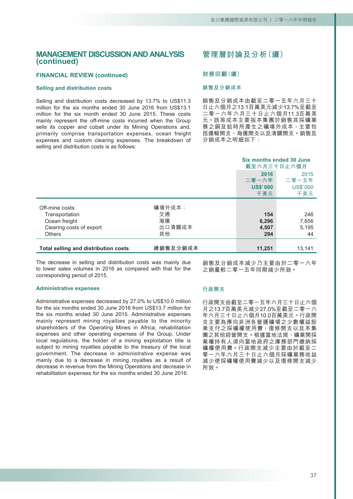### **FINANCIAL REVIEW (continued)**

#### **Selling and distribution costs**

Selling and distribution costs decreased by 13.7% to US\$11.3 million for the six months ended 30 June 2016 from US\$13.1 million for the six month ended 30 June 2015. These costs mainly represent the off-mine costs incurred when the Group sells its copper and cobalt under its Mining Operations and, primarily comprise transportation expenses, ocean freight expenses and custom clearing expenses. The breakdown of selling and distribution costs is as follows:

# **管理層討論及分析(續)**

#### **財務回顧(續)**

#### **銷售及分銷成本**

銷售及分銷成本由截至二零一五年六月三十 日止六個月之13.1百萬美元減少13.7%至截至 二零一六年六月三十日止六個月11.3百萬美 元。該等成本主要指本集團於銷售其採礦業 務之銅及鈷時所產生之礦場外成本,主要包 括運輸開支、海運開支以及清關開支。銷售及 分銷成本之明細如下:

**Six months ended 30 June**

|                                      |          |                          | OIA INVINIS GNUGU JU JUNG<br>截至六月三十日止六個月 |
|--------------------------------------|----------|--------------------------|------------------------------------------|
|                                      |          | 2016                     | 2015                                     |
|                                      |          | 二零一六年<br><b>US\$'000</b> | 二零一五年<br><b>US\$'000</b>                 |
|                                      |          | 千美元                      | 千美元                                      |
| Off-mine costs:                      | 礦場外成本:   |                          |                                          |
| Transportation                       | 交通       | 154                      | 246                                      |
| Ocean freight                        | 海運       | 6,296                    | 7,656                                    |
| Clearing costs of export             | 出口清關成本   | 4,507                    | 5,195                                    |
| <b>Others</b>                        | 其他       | 294                      | 44                                       |
|                                      |          |                          |                                          |
| Total selling and distribution costs | 總銷售及分銷成本 | 11,251                   | 13.141                                   |

The decrease in selling and distribution costs was mainly due to lower sales volumes in 2016 as compared with that for the corresponding period of 2015.

**Administrative expenses**

Administrative expenses decreased by 27.0% to US\$10.0 million for the six months ended 30 June 2016 from US\$13.7 million for the six months ended 30 June 2015. Administrative expenses mainly represent mining royalties payable to the minority shareholders of the Operating Mines in Africa, rehabilitation expenses and other operating expenses of the Group. Under local regulations, the holder of a mining exploitation title is subject to mining royalties payable to the treasury of the local government. The decrease in administrative expense was mainly due to a decrease in mining royalties as a result of decrease in revenue from the Mining Operations and decrease in rehabilitation expenses for the six months ended 30 June 2016.

# **行政開支**

行政開支由截至二零一五年六月三十日止六個 月之13.7百萬美元減少27.0%至截至二零一六 年六月三十日止六個月10.0百萬美元。行政開 支主要為應向非洲各營運礦場之少數權益股 東支付之採礦權使用費,復修開支以及本集 團之其他經營開支。根據當地法規,礦業開採 業權持有人須向當地政府之庫務部門繳納採 礦權使用費。行政開支減少主要由於截至二 零一六年六月三十日止六個月採礦業務收益 減少使採礦權使用費減少以及復修開支減少 所致。

銷售及分銷成本減少乃主要由於二零一六年

之銷量較二零一五年同期減少所致。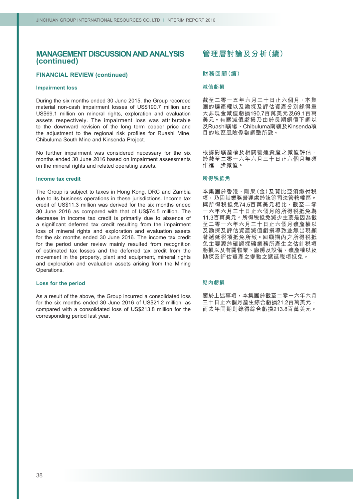### **FINANCIAL REVIEW (continued)**

#### **Impairment loss**

During the six months ended 30 June 2015, the Group recorded material non-cash impairment losses of US\$190.7 million and US\$69.1 million on mineral rights, exploration and evaluation assets respectively. The impairment loss was attributable to the downward revision of the long term copper price and the adjustment to the regional risk profiles for Ruashi Mine, Chibuluma South Mine and Kinsenda Project.

No further impairment was considered necessary for the six months ended 30 June 2016 based on impairment assessments on the mineral rights and related operating assets.

### **Income tax credit**

The Group is subject to taxes in Hong Kong, DRC and Zambia due to its business operations in these jurisdictions. Income tax credit of US\$11.3 million was derived for the six months ended 30 June 2016 as compared with that of US\$74.5 million. The decrease in income tax credit is primarily due to absence of a significant deferred tax credit resulting from the impairment loss of mineral rights and exploration and evaluation assets for the six months ended 30 June 2016. The income tax credit for the period under review mainly resulted from recognition of estimated tax losses and the deferred tax credit from the movement in the property, plant and equipment, mineral rights and exploration and evaluation assets arising from the Mining Operations.

#### **Loss for the period**

As a result of the above, the Group incurred a consolidated loss for the six months ended 30 June 2016 of US\$21.2 million, as compared with a consolidated loss of US\$213.8 million for the corresponding period last year.

# **管理層討論及分析(續)**

#### **財務回顧(續)**

#### **減值虧損**

截至二零一五年六月三十日止六個月,本集 團的礦產權以及勘探及評估資產分別錄得重 大非現金減值虧損190.7百萬美元及69.1百萬 美元。有關減值虧損乃由於長期銅價下調以 及Ruashi礦場、Chibuluma南礦及Kinsenda項 目的地區風險係數調整所致。

根據對礦產權及相關營運資產之減值評估, 於截至二零一六年六月三十日止六個月無須 作進一步減值。

#### **所得稅抵免**

本集團於香港、剛果(金)及贊比亞須繳付稅 項,乃因其業務營運處於該等司法管轄權區。 與所得税抵免74.5百萬美元相比, 截至二零 一六年六月三十日止六個月的所得稅抵免為 11.3百萬美元。所得稅抵免減少主要是因為截 至二零一六年六月三十日止六個月礦產權以 及勘探及評估資產減值虧損導致並無出現顯 著遞延稅項抵免所致。回顧期內之所得稅抵 免主要源於確認採礦業務所產生之估計稅項 虧損以及有關物業、廠房及設備、礦產權以及 勘探及評估資產之變動之遞延稅項抵免。

#### **期內虧損**

鑒於上述事項,本集團於截至二零一六年六月 三十日止六個月產生綜合虧損21.2百萬美元, 而去年同期則錄得綜合虧損213.8百萬美元。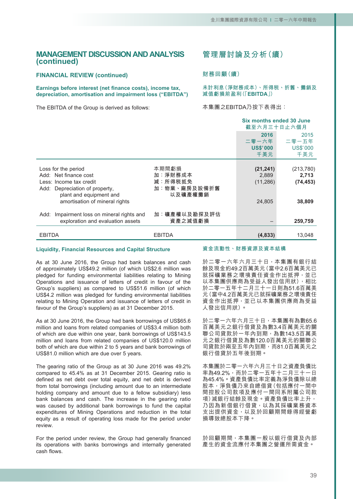### **FINANCIAL REVIEW (continued)**

#### **Earnings before interest (net finance costs), income tax, depreciation, amortisation and impairment loss ("EBITDA")**

The EBITDA of the Group is derived as follows:

# **管理層討論及分析(續)**

#### **財務回顧(續)**

**未計利息(淨財務成本)、所得稅、折舊、攤銷及 減值虧損前盈利(「EBITDA」)**

本集團之EBITDA乃按下表得出:

|                                                                                                                                                                           |                                                        | Six months ended 30 June<br>截至六月三十日止六個月   |                                           |
|---------------------------------------------------------------------------------------------------------------------------------------------------------------------------|--------------------------------------------------------|-------------------------------------------|-------------------------------------------|
|                                                                                                                                                                           |                                                        | 2016<br>二零一六年<br><b>US\$'000</b><br>千美元   | 2015<br>二零一五年<br><b>US\$'000</b><br>千美元   |
| Loss for the period<br>Add: Net finance cost<br>Less: Income tax credit<br>Depreciation of property,<br>Add:<br>plant and equipment and<br>amortisation of mineral rights | 本期間虧損<br>加:淨財務成本<br>減:所得税抵免<br>加:物業、廠房及設備折舊<br>以及礦產權攤銷 | (21, 241)<br>2,889<br>(11, 286)<br>24,805 | (213,780)<br>2,713<br>(74, 453)<br>38,809 |
| Impairment loss on mineral rights and<br>Add:<br>exploration and evaluation assets                                                                                        | 加︰礦產權以及勘探及評估<br>資產之減值虧損                                |                                           | 259,759                                   |
| <b>EBITDA</b>                                                                                                                                                             | <b>EBITDA</b>                                          | (4,833)                                   | 13,048                                    |

#### **Liquidity, Financial Resources and Capital Structure**

As at 30 June 2016, the Group had bank balances and cash of approximately US\$49.2 million (of which US\$2.6 million was pledged for funding environmental liabilities relating to Mining Operations and issuance of letters of credit in favour of the Group's suppliers) as compared to US\$51.6 million (of which US\$4.2 million was pledged for funding environmental liabilities relating to Mining Operation and issuance of letters of credit in favour of the Group's suppliers) as at 31 December 2015.

As at 30 June 2016, the Group had bank borrowings of US\$65.6 million and loans from related companies of US\$3.4 million both of which are due within one year, bank borrowings of US\$143.5 million and loans from related companies of US\$120.0 million both of which are due within 2 to 5 years and bank borrowings of US\$81.0 million which are due over 5 years.

The gearing ratio of the Group as at 30 June 2016 was 49.2% compared to 45.4% as at 31 December 2015. Gearing ratio is defined as net debt over total equity, and net debt is derived from total borrowings (including amount due to an intermediate holding company and amount due to a fellow subsidiary) less bank balances and cash. The increase in the gearing ratio was caused by additional bank borrowings to fund the capital expenditures of Mining Operations and reduction in the total equity as a result of operating loss made for the period under review.

For the period under review, the Group had generally financed its operations with banks borrowings and internally generated cash flows.

#### **資金流動性、財務資源及資本結構**

於二零一六年六月三十日,本集團有銀行結 餘及現金約49.2百萬美元(當中2.6百萬美元已 就採礦業務之環境責任資金作出抵押,並已 以本集團供應商為受益人發出信用狀), 相比 於二零一五年十二月三十一日則為51.6百萬美 元(當中4.2百萬美元已就採礦業務之環境責任 資金作出抵押,並已以本集團供應商為受益 人發出信用狀)。

於二零一六年六月三十日,本集團有為數65.6 百萬美元之銀行借貸及為數3.4百萬美元的關 聯公司貸款於一年內到期,為數143.5百萬美 元之銀行借貸及為數120.0百萬美元的關聯公 司貸款於兩至五年內到期,而81.0百萬美元之 銀行借貸於五年後到期。

本集團於二零一六年六月三十日之資產負債比 率為49.2%,而於二零一五年十二月三十一日 為45.4%。資產負債比率定義為淨負債除以總 股本,淨負債乃來自總借貸(包括應付一間中 間控股公司款項及應付一間同系附屬公司款 項)減銀行結餘及現金。資產負債比率上升, 乃因為新借銀行借貸,以為其採礦業務資本 支出提供資金,以及於回顧期間錄得經營虧 損導致總股本下降。

於回顧期間,本集團一般以銀行借貸及內部 產生的資金流應付本集團之營運所需資金。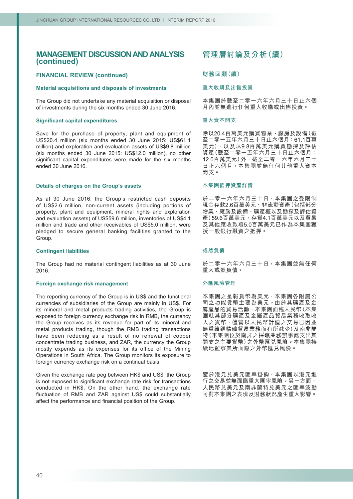### **FINANCIAL REVIEW (continued)**

#### **Material acquisitions and disposals of investments**

The Group did not undertake any material acquisition or disposal of investments during the six months ended 30 June 2016.

#### **Significant capital expenditures**

Save for the purchase of property, plant and equipment of US\$20.4 million (six months ended 30 June 2015: US\$61.1 million) and exploration and evaluation assets of US\$9.8 million (six months ended 30 June 2015: US\$12.0 million), no other significant capital expenditures were made for the six months ended 30 June 2016.

#### **Details of charges on the Group's assets**

As at 30 June 2016, the Group's restricted cash deposits of US\$2.6 million, non-current assets (including portions of property, plant and equipment, mineral rights and exploration and evaluation assets) of US\$59.6 million, inventories of US\$4.1 million and trade and other receivables of US\$5.0 million, were pledged to secure general banking facilities granted to the Group.

#### **Contingent liabilities**

The Group had no material contingent liabilities as at 30 June 2016.

#### **Foreign exchange risk management**

The reporting currency of the Group is in US\$ and the functional currencies of subsidiaries of the Group are mainly in US\$. For its mineral and metal products trading activities, the Group is exposed to foreign currency exchange risk in RMB, the currency the Group receives as its revenue for part of its mineral and metal products trading, though the RMB trading transactions have been reducing as a result of no renewal of copper concentrate trading business, and ZAR, the currency the Group mostly expends as its expenses for its office of the Mining Operations in South Africa. The Group monitors its exposure to foreign currency exchange risk on a continual basis.

Given the exchange rate peg between HK\$ and US\$, the Group is not exposed to significant exchange rate risk for transactions conducted in HK\$. On the other hand, the exchange rate fluctuation of RMB and ZAR against US\$ could substantially affect the performance and financial position of the Group.

# **管理層討論及分析(續)**

#### **財務回顧(續)**

#### **重大收購及出售投資**

本集團於截至二零一六年六月三十日止六個 月內並無進行任何重大收購或出售投資。

#### **重大資本開支**

除以20.4百萬美元購買物業、廠房及設備(截 至二零一五年六月三十日止六個月:61.1百萬 美元),以及以9.8百萬美元購買勘探及評估 資產(截至二零一五年六月三十日止六個月: 12.0百萬美元)外,截至二零一六年六月三十 日止六個月,本集團並無任何其他重大資本 開支。

#### **本集團抵押資產詳情**

於二零一六年六月三十日,本集團之受限制 現金存款2.6百萬美元、非流動資產(包括部分 物業、廠房及設備、礦產權以及勘探及評估資 產)59.6百萬美元、存貨4.1百萬美元以及貿易 及其他應收款項5.0百萬美元已作為本集團獲 授一般銀行融資之抵押。

#### **或然負債**

於二零一六年六月三十日,本集團並無任何 重大或然負債。

#### **外匯風險管理**

本集團之呈報貨幣為美元,本集團各附屬公 司之功能貨幣主要為美元。由於其礦產及金 屬產品的貿易活動,本集團面臨人民幣(本集 團就其部分礦產及金屬產品貿易業務收取收 入之貨幣,儘管以人民幣計值之交易已因並 無重續銅精礦貿易業務而有所減少)及南非蘭 特(本集團位於南非之採礦業務辦事處支出其 開支之主要貨幣)之外幣匯兑風險。本集團持 續地監察其所面臨之外幣匯兌風險。

鑒於港元兌美元匯率掛鈎,本集團以港元進 行之交易並無面臨重大匯率風險。另一方面, 人民幣兌美元及南非蘭特兌美元之匯率波動 可對本集團之表現及財務狀況產生重大影響。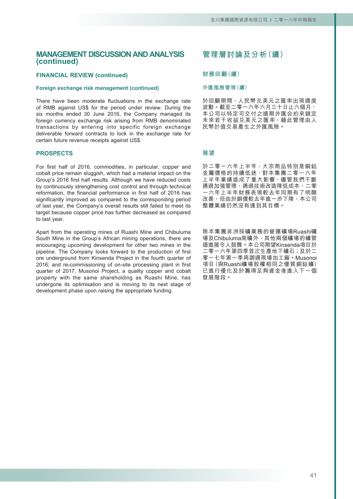### **FINANCIAL REVIEW (continued)**

### **Foreign exchange risk management (continued)**

There have been moderate fluctuations in the exchange rate of RMB against US\$ for the period under review. During the six months ended 30 June 2016, the Company managed its foreign currency exchange risk arising from RMB denominated transactions by entering into specific foreign exchange deliverable forward contracts to lock in the exchange rate for certain future revenue receipts against US\$.

### **PROSPECTS**

For first half of 2016, commodities, in particular, copper and cobalt price remain sluggish, which had a material impact on the Group's 2016 first half results. Although we have reduced costs by continuously strengthening cost control and through technical reformation, the financial performance in first half of 2016 has significantly improved as compared to the corresponding period of last year, the Company's overall results still failed to meet its target because copper price has further decreased as compared to last year.

Apart from the operating mines of Ruashi Mine and Chibuluma South Mine in the Group's African mining operations, there are encouraging upcoming development for other two mines in the pipeline. The Company looks forward to the production of first ore underground from Kinsenda Project in the fourth quarter of 2016; and re-commissioning of on-site processing plant in first quarter of 2017. Musonoi Project, a quality copper and cobalt property with the same shareholding as Ruashi Mine, has undergone its optimisation and is moving to its next stage of development phase upon raising the appropriate funding.

# **管理層討論及分析(續)**

#### **財務回顧(續)**

#### **外匯風險管理(續)**

於回顧期間,人民幣兌美元之匯率出現適度 波動。截至二零一六年六月三十日止六個月, 本公司以特定可交付之遠期外匯合約來鎖定 未來若干收益兌美元之匯率,藉此管理由人 民幣計值交易產生之外匯風險。

### **展望**

於二零一六年上半年,大宗商品特別是銅鈷 金屬價格的持續低迷,對本集團二零一六年 上半年業績造成了重大影響,儘管我們不斷 通過加强管理,通過技術改造降低成本,二零 一六年上半年財務表現較去年同期有了明顯 改善,但由於銅價較去年進一步下降,本公司 整體業績仍然沒有達到其目標。

除本集團非洲採礦業務的營運礦場Ruashi礦 場及Chibuluma南礦外,其他兩個礦場的礦管 道進展令人鼓舞。本公司期望Kinsenda項目於 二零一六年第四季首次生產地下礦石;及於二 零一七年第一季再調適現場加工廠。Musonoi 項目(與Ruashi礦場股權相同之優質銅鈷礦) 已進行優化及於籌得足夠資金後進入下一個 發展階段。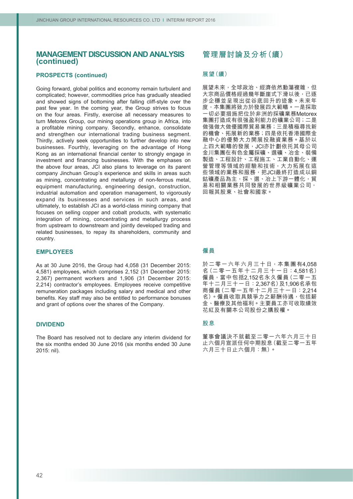### **PROSPECTS (continued)**

Going forward, global politics and economy remain turbulent and complicated; however, commodities price has gradually steadied and showed signs of bottoming after falling cliff-style over the past few year. In the coming year, the Group strives to focus on the four areas. Firstly, exercise all necessary measures to turn Metorex Group, our mining operations group in Africa, into a profitable mining company. Secondly, enhance, consolidate and strengthen our international trading business segment. Thirdly, actively seek opportunities to further develop into new businesses. Fourthly, leveraging on the advantage of Hong Kong as an international financial center to strongly engage in investment and financing businesses. With the emphases on the above four areas, JCI also plans to leverage on its parent company Jinchuan Group's experience and skills in areas such as mining, concentrating and metallurgy of non-ferrous metal, equipment manufacturing, engineering design, construction, industrial automation and operation management, to vigorously expand its businesses and services in such areas, and ultimately, to establish JCI as a world-class mining company that focuses on selling copper and cobalt products, with systematic integration of mining, concentrating and metallurgy process from upstream to downstream and jointly developed trading and related businesses, to repay its shareholders, community and country.

#### **EMPLOYEES**

As at 30 June 2016, the Group had 4,058 (31 December 2015: 4,581) employees, which comprises 2,152 (31 December 2015: 2,367) permanent workers and 1,906 (31 December 2015: 2,214) contractor's employees. Employees receive competitive remuneration packages including salary and medical and other benefits. Key staff may also be entitled to performance bonuses and grant of options over the shares of the Company.

#### **DIVIDEND**

The Board has resolved not to declare any interim dividend for the six months ended 30 June 2016 (six months ended 30 June 2015: nil).

# **管理層討論及分析(續)**

### **展望(續)**

展望未來,全球政治、經濟依然動蕩複雜,但 大宗商品價格經過幾年斷崖式下滑以後,已逐 步企穩並呈現出從谷底回升的迹象。未來年 度,本集團將致力於發展四大範疇。一是採取 一切必要措施把位於非洲的採礦業務Metorex 集團打造成有很强盈利能力的礦業公司;二是 做强做大做優國際貿易業務;三是積極尋找新 的機會、拓展新的業務;四是依托香港國際金 融中心的優勢大力開展投融資業務。基於以 上四大範疇的發展,JCI亦計劃依托其母公司 金川集團在有色金屬採礦、選礦、冶金、裝備 製造、工程設計、工程施工、工業自動化、運 營管理等領域的經驗和技術,大力拓展在這 些領域的業務和服務,把JCI最終打造成以銅 鈷礦產品為主,採、選、冶上下游一體化,貿 易和相關業務共同發展的世界級礦業公司, 回報其股東、社會和國家。

#### **僱員**

於二零一六年六月三十日,本集團有4,058 名(二零一五年十二月三十一日:4,581名) 僱員,當中包括2,152名永久僱員(二零一五 年十二月三十一日:2,367名)及1,906名承包 商僱員(二零一五年十二月三十一日:2,214 名)。僱員收取具競爭力之薪酬待遇,包括薪 金、醫療及其他福利。主要員工亦可收取績效 花紅及有關本公司股份之購股權。

### **股息**

董事會議決不就截至二零一六年六月三十日 止六個月宣派任何中期股息(截至二零一五年 六月三十日止六個月:無)。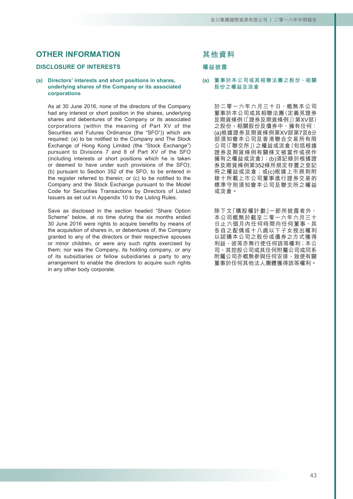# **OTHER INFORMATION**

# **DISCLOSURE OF INTERESTS**

#### **(a) Directors' interests and short positions in shares, underlying shares of the Company or its associated corporations**

As at 30 June 2016, none of the directors of the Company had any interest or short position in the shares, underlying shares and debentures of the Company or its associated corporations (within the meaning of Part XV of the Securities and Futures Ordinance (the "SFO")) which are required: (a) to be notified to the Company and The Stock Exchange of Hong Kong Limited (the "Stock Exchange") pursuant to Divisions 7 and 8 of Part XV of the SFO (including interests or short positions which he is taken or deemed to have under such provisions of the SFO); (b) pursuant to Section 352 of the SFO, to be entered in the register referred to therein; or (c) to be notified to the Company and the Stock Exchange pursuant to the Model Code for Securities Transactions by Directors of Listed Issuers as set out in Appendix 10 to the Listing Rules.

Save as disclosed in the section headed "Share Option Scheme" below, at no time during the six months ended 30 June 2016 were rights to acquire benefits by means of the acquisition of shares in, or debentures of, the Company granted to any of the directors or their respective spouses or minor children, or were any such rights exercised by them; nor was the Company, its holding company, or any of its subsidiaries or fellow subsidiaries a party to any arrangement to enable the directors to acquire such rights in any other body corporate.

### **其他資料**

### **權益披露**

**(a) 董事於本公司或其相聯法團之股份、相關 股份之權益及淡倉**

> 於二零一六年六月三十日,概無本公司 董事於本公司或其相聯法團(定義見證券 及期貨條例(「證券及期貨條例」)第XV部) 之股份、相關股份及債券中,擁有任何: (a)根據證券及期貨條例第XV部第7及8分 部須知會本公司及香港聯合交易所有限 公司(「聯交所」)之權益或淡倉(包括根據 證券及期貨條例有關條文被當作或視作 擁有之權益或淡倉);(b)須記錄於根據證 券及期貨條例第352條所規定存置之登記 冊之權益或淡倉;或(c)根據上市規則附 錄十所載上市公司董事進行證券交易的 標準守則須知會本公司及聯交所之權益 或淡倉。

除下文「購股權計劃」一節所披露者外 本公司概無於截至二零一六年六月三十 日止六個月內任何時間向任何董事、其 各自之配偶或十八歲以下子女授出權利 以認購本公司之股份或債券之方式獲得 利益,彼等亦無行使任何該等權利;本公 司、其控股公司或其任何附屬公司或同系 附屬公司亦概無參與任何安排,致使有關 董事於任何其他法人團體獲得該等權利。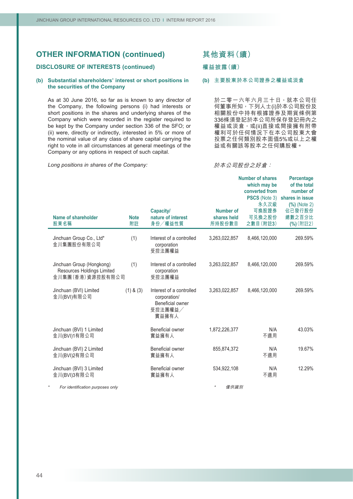### **DISCLOSURE OF INTERESTS (continued)**

#### **(b) Substantial shareholders' interest or short positions in the securities of the Company**

As at 30 June 2016, so far as is known to any director of the Company, the following persons (i) had interests or short positions in the shares and underlying shares of the Company which were recorded in the register required to be kept by the Company under section 336 of the SFO; or (ii) were, directly or indirectly, interested in 5% or more of the nominal value of any class of share capital carrying the right to vote in all circumstances at general meetings of the Company or any options in respect of such capital.

*Long positions in shares of the Company:*

# **其他資料(續)**

**權益披露(續)**

#### **(b) 主要股東於本公司證券之權益或淡倉**

於二零一六年六月三十日,就本公司任 何董事所知,下列人士(i)於本公司股份及 相關股份中持有根據證券及期貨條例第 336條須登記於本公司所保存登記冊內之 權益或淡倉,或(ii)直接或間接擁有附帶 權利可於任何情況下在本公司股東大會 投票之任何類別股本面值5%或以上之權 益或有關該等股本之任何購股權。

**Number of shares Percentage**

#### 於本公司股份之好倉:

|                                                                             |                   |                                                                                  |                                           | which may be<br>converted from<br>PSCS (Note 3)<br>永久次級 | of the total<br>number of<br>shares in issue<br>$(\%)$ (Note 2) |
|-----------------------------------------------------------------------------|-------------------|----------------------------------------------------------------------------------|-------------------------------------------|---------------------------------------------------------|-----------------------------------------------------------------|
| Name of shareholder<br>股東名稱                                                 | <b>Note</b><br>附註 | <b>Capacity/</b><br>nature of interest<br>身份/權益性質                                | <b>Number of</b><br>shares held<br>所持股份數目 | 可換股證券<br>可兑换之股份<br>之數目(附註3)                             | 佔已發行股份<br>總數之百分比<br>(%) (附註2)                                   |
| Jinchuan Group Co., Ltd*<br>金川集團股份有限公司                                      | (1)               | Interest of a controlled<br>corporation<br>受控法團權益                                | 3,263,022,857                             | 8,466,120,000                                           | 269.59%                                                         |
| Jinchuan Group (Hongkong)<br>Resources Holdings Limited<br>金川集團(香港)資源控股有限公司 | (1)               | Interest of a controlled<br>corporation<br>受控法團權益                                | 3,263,022,857                             | 8,466,120,000                                           | 269.59%                                                         |
| Jinchuan (BVI) Limited<br>金川(BVI)有限公司                                       | $(1)$ & $(3)$     | Interest of a controlled<br>corporation/<br>Beneficial owner<br>受控法團權益/<br>實益擁有人 | 3,263,022,857                             | 8,466,120,000                                           | 269.59%                                                         |
| Jinchuan (BVI) 1 Limited<br>金川(BVI)1有限公司                                    |                   | Beneficial owner<br>實益擁有人                                                        | 1,872,226,377                             | N/A<br>不適用                                              | 43.03%                                                          |
| Jinchuan (BVI) 2 Limited<br>金川(BVI)2有限公司                                    |                   | Beneficial owner<br>實益擁有人                                                        | 855,874,372                               | N/A<br>不適用                                              | 19.67%                                                          |
| Jinchuan (BVI) 3 Limited<br>金川(BVI)3有限公司                                    |                   | Beneficial owner<br>實益擁有人                                                        | 534,922,108                               | N/A<br>不適用                                              | 12.29%                                                          |
| For identification purposes only                                            |                   |                                                                                  | ×<br>僅供識別                                 |                                                         |                                                                 |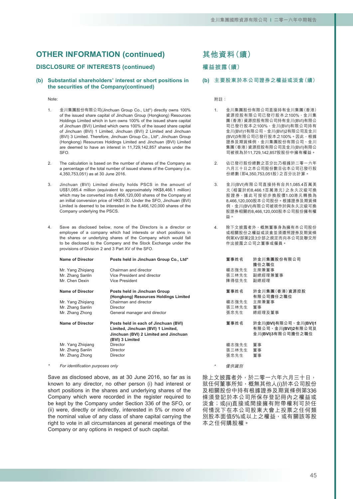### **DISCLOSURE OF INTERESTS (continued)**

#### **(b) Substantial shareholders' interest or short positions in the securities of the Company(continued)**

#### Note:

- 1. 金川集團股份有限公司(Jinchuan Group Co., Ltd\*) directly owns 100% of the issued share capital of Jinchuan Group (Hongkong) Resources Holdings Limited which in turn owns 100% of the issued share capital of Jinchuan (BVI) Limited which owns 100% of the issued share capital of Jinchuan (BVI) 1 Limited, Jinchuan (BVI) 2 Limited and Jinchuan (BVI) 3 Limited. Therefore, Jinchuan Group Co., Ltd\*, Jinchuan Group (Hongkong) Resources Holdings Limited and Jinchuan (BVI) Limited are deemed to have an interest in 11,729,142,857 shares under the SFO.
- 2. The calculation is based on the number of shares of the Company as a percentage of the total number of issued shares of the Company (i.e. 4,350,753,051) as at 30 June 2016.
- 3. Jinchuan (BVI) Limited directly holds PSCS in the amount of US\$1,085.4 million (equivalent to approximately HK\$8,466.1 million) which may be converted into 8,466,120,000 shares of the Company at an initial conversion price of HK\$1.00. Under the SFO, Jinchuan (BVI) Limited is deemed to be interested in the 8,466,120,000 shares of the Company underlying the PSCS.
- 4. Save as disclosed below, none of the Directors is a director or employee of a company which had interests or short positions in the shares or underlying shares of the Company which would fall to be disclosed to the Company and the Stock Exchange under the provisions of Division 2 and 3 Part XV of the SFO.

| <b>Name of Director</b> | Posts held in Jinchuan Group Co., Ltd*                                     | 董 |
|-------------------------|----------------------------------------------------------------------------|---|
| Mr. Yang Zhigiang       | Chairman and director                                                      | 楊 |
| Mr. Zhang Sanlin        | Vice President and director                                                | 張 |
| Mr. Chen Dexin          | <b>Vice President</b>                                                      | 陳 |
| <b>Name of Director</b> | Posts held in Jinchuan Group                                               | 董 |
|                         | (Hongkong) Resources Holdings Limited                                      |   |
| Mr. Yang Zhiqiang       | Chairman and director                                                      | 楊 |
| Mr. Zhang Sanlin        | Director                                                                   | 張 |
| Mr. Zhang Zhong         | General manager and director                                               | 張 |
| <b>Name of Director</b> | Posts held in each of Jinchuan (BVI)<br>Limited, Jinchuan (BVI) 1 Limited, | 董 |
|                         | Jinchuan (BVI) 2 Limited and Jinchuan                                      |   |
|                         | (BVI) 3 Limited                                                            |   |
| Mr. Yang Zhigiang       | Director                                                                   | 楊 |
| Mr. Zhang Sanlin        | Director                                                                   | 張 |
| Mr. Zhang Zhong         | Director                                                                   | 張 |
|                         |                                                                            |   |

*\* For identification purposes only*

Save as disclosed above, as at 30 June 2016, so far as is known to any director, no other person (i) had interest or short positions in the shares and underlying shares of the Company which were recorded in the register required to be kept by the Company under Section 336 of the SFO, or (ii) were, directly or indirectly, interested in 5% or more of the nominal value of any class of share capital carrying the right to vote in all circumstances at general meetings of the Company or any options in respect of such capital.

**其他資料(續)**

### **權益披露(續)**

**(b) 主要股東於本公司證券之權益或淡倉(續)**

附註:

- 1. 金川集團股份有限公司直接持有金川集團(香港) 資源控股有限公司已發行股本之100%,金川集 團(香港)資源控股有限公司持有金川(BVI)有限公 司已發行股本之100%,金川(BVI)有限公司持有 金川(BVI)1有限公司、金川(BVI)2有限公司及金川 (BVI)3有限公司已發行股本之100%。因此,根據 證券及期貨條例,金川集團股份有限公司、金川 集團(香港)資源控股有限公司及金川(BVI)有限公 司被視為於11,729,142,857股股份中擁有權益。
- 2. 佔已發行股份總數之百分比乃根據於二零一六年 六月三十日之本公司股份數目佔本公司已發行股 份總數(即4,350,753,051股)之百分比計算。
- 3. 金川(BVI)有限公司直接持有合共1,085.4百萬美 元(相當於約8,466.1百萬港元)之永久次級可換 股證券,據此可按初步換股價1.00港元轉換為 8,466,120,000股本公司股份。根據證券及期貨條 例,金川(BVI)有限公司被視作於與永久次級可換 股證券相關的8,466,120,000股本公司股份擁有權 益。
- 4. 除下文披露者外,概無董事身為擁有本公司股份 或相關股份之權益或淡倉並須遵照證券及期貨條 例第XV部第2及3分部之規定而向本公司及聯交所 作出披露之公司之董事或僱員。

| 董事姓名                   | 於金川集團股份有限公司<br>擔任之職位                                             |
|------------------------|------------------------------------------------------------------|
| 楊志強先生                  | 主席兼董事                                                            |
| 張三林先生                  | 副總經理兼董事                                                          |
| 陳得信先生                  | 副總經理                                                             |
| 董事姓名                   | 於金川集團(香港)資源控股<br>有限公司擔任之職位                                       |
| 楊志強先生                  | 主席兼董事                                                            |
| 張三林先生                  | 董事                                                               |
| 張忠先生                   | 總經理及董事                                                           |
| 董事姓名                   | 於金川(BVI)有限公司、金川(BVI)1<br>有限公司、金川(BVI)2有限公司及<br>金川(BVI)3有限公司擔任之職位 |
| 楊志強先生<br>張三林先生<br>張忠先生 | 董事<br>董事<br>董事                                                   |

僅供識別

\*

除上文披露者外,於二零一六年六月三十日, 就任何董事所知,概無其他人(i)於本公司股份 及相關股份中持有根據證券及期貨條例第336 條須登記於本公司所保存登記冊內之權益或 淡倉;或(ii)直接或間接擁有附帶權利可於任 何情況下在本公司股東大會上投票之任何類 別股本面值5%或以上之權益,或有關該等股 本之任何購股權。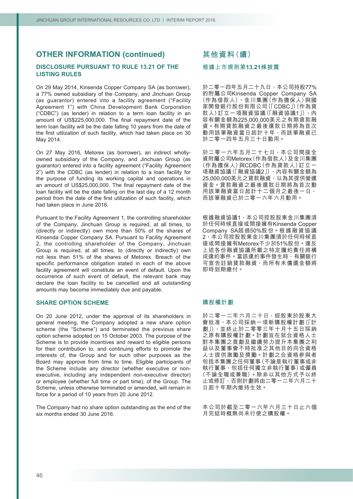# **DISCLOSURE PURSUANT TO RULE 13.21 OF THE LISTING RULES**

On 29 May 2014, Kinsenda Copper Company SA (as borrower), a 77% owned subsidiary of the Company, and Jinchuan Group (as guarantor) entered into a facility agreement ("Facility Agreement 1") with China Development Bank Corporation ("CDBC") (as lender) in relation to a term loan facility in an amount of US\$225,000,000. The final repayment date of the term loan facility will be the date falling 10 years from the date of the first utilization of such facility, which had taken place on 30 May 2014.

On 27 May 2016, Metorex (as borrower), an indirect whollyowned subsidiary of the Company, and Jinchuan Group (as guarantor) entered into a facility agreement ("Facility Agreement 2") with the CDBC (as lender) in relation to a loan facility for the purpose of funding its working capital and operations in an amount of US\$25,000,000. The final repayment date of the loan facility will be the date falling on the last day of a 12 month period from the date of the first utilization of such facility, which had taken place in June 2016.

Pursuant to the Facility Agreement 1, the controlling shareholder of the Company, Jinchuan Group is required, at all times, to (directly or indirectly) own more than 50% of the shares of Kinsenda Copper Company SA. Pursuant to Facility Agreement 2, the controlling shareholder of the Company, Jinchuan Group is required, at all times, to (directly or indirectly) own not less than 51% of the shares of Metorex. Breach of the specific performance obligation stated in each of the above facility agreement will constitute an event of default. Upon the occurrence of such event of default, the relevant bank may declare the loan facility to be cancelled and all outstanding amounts may become immediately due and payable.

#### **SHARE OPTION SCHEME**

On 20 June 2012, under the approval of its shareholders in general meeting, the Company adopted a new share option scheme (the "Scheme") and terminated the previous share option scheme adopted on 15 October 2003. The purpose of the Scheme is to provide incentives and reward to eligible persons for their contribution to, and continuing efforts to promote the interests of, the Group and for such other purposes as the Board may approve from time to time. Eligible participants of the Scheme include any director (whether executive or nonexecutive, including any independent non-executive director) or employee (whether full time or part time), of the Group. The Scheme, unless otherwise terminated or amended, will remain in force for a period of 10 years from 20 June 2012.

The Company had no share option outstanding as the end of the six months ended 30 June 2016.

# **其他資料(續)**

### **根據上市規則第13.21條披露**

於二零一四年五月二十九日,本公司持股77% 的附屬公司Kinsenda Copper Company SA (作為借款人)、金川集團(作為擔保人)與國 家開發銀行股份有限公司(「CDBC」)(作為貸 款人)訂立一項融資協議(「融資協議1」),內 容有關金額為225,000,000美元之有期貸款融 資。有期貸款融資之最後還款日期將為首次 動用該筆融資當日起計十年,而該筆融資已 於二零一四年五月三十日動用。

於二零一六年五月二十七日,本公司間接全 資附屬公司Metorex(作為借款人)及金川集團 (作為擔保人)與CDBC(作為貸款人)訂立一 項融資協議(「融資協議2」),內容有關金額為 25,000,000美元之貸款融資,以為其提供營運 資金。貸款融資之最後還款日期將為首次動 用該筆融資當日起計十二個月之最後一日, 而該筆融資已於二零一六年六月動用。

根據融資協議1,本公司控股股東金川集團須 於任何時候直接或間接擁有Kinsenda Copper Company SA超過50%股份。根據融資協議 2,本公司控股股東金川集團須於任何時候直 接或間接擁有Metorex不少於51%股份。違反 上述各份融資協議所載之特定履約責任將構 成違約事件。當該違約事件發生時,有關銀行 可宣告註銷貸款融資,而所有未償還金額將 即時到期繳付。

#### **購股權計劃**

於二零一二年六月二十日,經股東於股東大 會批准,本公司採納一項新購股權計劃(「計 劃」),並終止於二零零三年十月十五日採納 之原有購股權計劃。計劃旨在就合資格人士 對本集團之貢獻及繼續努力提升本集團之利 益以及董事會不時批准之其他目的向合資格 人士提供激勵及獎勵。計劃之合資格參與者 包括本集團之任何董事(不論是執行董事或非 執行董事,包括任何獨立非執行董事)或僱員 (不論全職或兼職)。除非以其他方式予以終 止或修訂,否則計劃將由二零一二年六月二十 日起十年期內維持生效。

本公司於截至二零一六年六月三十日止六個 月完結時概無尚未行使之購股權。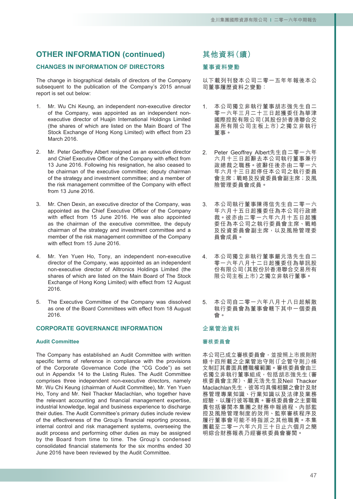# **CHANGES IN INFORMATION OF DIRECTORS**

The change in biographical details of directors of the Company subsequent to the publication of the Company's 2015 annual report is set out below:

- 1. Mr. Wu Chi Keung, an independent non-executive director of the Company, was appointed as an independent nonexecutive director of Huajin International Holdings Limited (the shares of which are listed on the Main Board of The Stock Exchange of Hong Kong Limited) with effect from 23 March 2016.
- 2. Mr. Peter Geoffrey Albert resigned as an executive director and Chief Executive Officer of the Company with effect from 13 June 2016. Following his resignation, he also ceased to be chairman of the executive committee; deputy chairman of the strategy and investment committee; and a member of the risk management committee of the Company with effect from 13 June 2016.
- 3. Mr. Chen Dexin, an executive director of the Company, was appointed as the Chief Executive Officer of the Company with effect from 15 June 2016. He was also appointed as the chairman of the executive committee, the deputy chairman of the strategy and investment committee and a member of the risk management committee of the Company with effect from 15 June 2016.
- 4. Mr. Yen Yuen Ho, Tony, an independent non-executive director of the Company, was appointed as an independent non-executive director of Alltronics Holdings Limited (the shares of which are listed on the Main Board of The Stock Exchange of Hong Kong Limited) with effect from 12 August 2016.
- 5. The Executive Committee of the Company was dissolved as one of the Board Committees with effect from 18 August 2016.

# **CORPORATE GOVERNANCE INFORMATION**

#### **Audit Committee**

The Company has established an Audit Committee with written specific terms of reference in compliance with the provisions of the Corporate Governance Code (the "CG Code") as set out in Appendix 14 to the Listing Rules. The Audit Committee comprises three independent non-executive directors, namely Mr. Wu Chi Keung (chairman of Audit Committee), Mr. Yen Yuen Ho, Tony and Mr. Neil Thacker Maclachlan, who together have the relevant accounting and financial management expertise, industrial knowledge, legal and business experience to discharge their duties. The Audit Committee's primary duties include review of the effectiveness of the Group's financial reporting process, internal control and risk management systems, overseeing the audit process and performing other duties as may be assigned by the Board from time to time. The Group's condensed consolidated financial statements for the six months ended 30 June 2016 have been reviewed by the Audit Committee.

# **其他資料(續)**

### **董事資料變動**

以下載列刊發本公司二零一五年年報後本公 司董事履歷資料之變動:

- 1. 本公司獨立非執行董事胡志強先生自二 零一六年三月二十三日起獲委任為華津 國際控股有限公司(其股份於香港聯合交 易所有限公司主板上市)之獨立非執行 董事。
- 2. Peter Geoffrey Albert先生自二零一六年 六月十三日起辭去本公司執行董事兼行 政總裁之職務。彼辭任後亦由二零一六 年六月十三日起停任本公司之執行委員 會主席;戰略及投資委員會副主席;及風 險管理委員會成員。
- 3. 本公司執行董事陳得信先生自二零一六 年六月十五日起獲委任為本公司行政總 裁。彼亦由二零一六年六月十五日起獲 委任為本公司之執行委員會主席、戰略 及投資委員會副主席,以及風險管理委 員會成員。
- 4. 本公司獨立非執行董事嚴元浩先生自二 零一六年八月十二日起獲委任為華訊股 份有限公司(其股份於香港聯合交易所有 限公司主板上市)之獨立非執行董事。
- 5. 本公司自二零一六年八月十八日起解散 執行委員會為董事會轄下其中一個委員 會。

### **企業管治資料**

### **審核委員會**

本公司已成立審核委員會,並按照上市規則附 錄十四所載之企業管治守則(「企管守則」)條 文制訂其書面具體職權範圍。審核委員會由三 名獨立非執行董事組成,包括胡志強先生(審 核委員會主席)、嚴元浩先生及Neil Thacker Maclachlan先生,彼等均具備相關之會計及財 務管理專業知識、行業知識以及法律及業務 經驗,以履行彼等職責。審核委員會之主要職 責包括審閱本集團之財務申報過程、內部監 控及風險管理制度的效用、監察審核程序及 履行董事會可能不時指派之其他職責。本集 團截至二零一六年六月三十日止六個月之簡 明綜合財務報表乃經審核委員會審閱。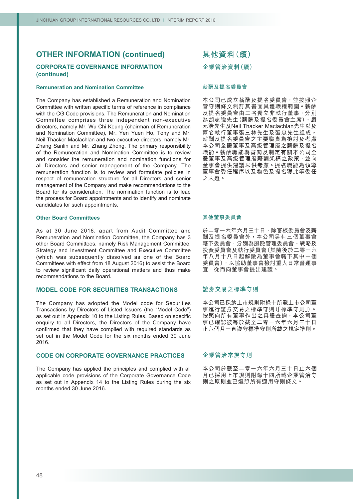### **CORPORATE GOVERNANCE INFORMATION (continued)**

#### **Remuneration and Nomination Committee**

The Company has established a Remuneration and Nomination Committee with written specific terms of reference in compliance with the CG Code provisions. The Remuneration and Nomination Committee comprises three independent non-executive directors, namely Mr. Wu Chi Keung (chairman of Remuneration and Nomination Committee), Mr. Yen Yuen Ho, Tony and Mr. Neil Thacker Maclachlan and two executive directors, namely Mr. Zhang Sanlin and Mr. Zhang Zhong. The primary responsibility of the Remuneration and Nomination Committee is to review and consider the remuneration and nomination functions for all Directors and senior management of the Company. The remuneration function is to review and formulate policies in respect of remuneration structure for all Directors and senior management of the Company and make recommendations to the Board for its consideration. The nomination function is to lead the process for Board appointments and to identify and nominate candidates for such appointments.

#### **Other Board Committees**

As at 30 June 2016, apart from Audit Committee and Remuneration and Nomination Committee, the Company has 3 other Board Committees, namely Risk Management Committee, Strategy and Investment Committee and Executive Committee (which was subsequently dissolved as one of the Board Committees with effect from 18 August 2016) to assist the Board to review significant daily operational matters and thus make recommendations to the Board.

#### **MODEL CODE FOR SECURITIES TRANSACTIONS**

The Company has adopted the Model code for Securities Transactions by Directors of Listed Issuers (the "Model Code") as set out in Appendix 10 to the Listing Rules. Based on specific enquiry to all Directors, the Directors of the Company have confirmed that they have complied with required standards as set out in the Model Code for the six months ended 30 June 2016.

# **CODE ON CORPORATE GOVERNANCE PRACTICES**

The Company has applied the principles and complied with all applicable code provisions of the Corporate Governance Code as set out in Appendix 14 to the Listing Rules during the six months ended 30 June 2016.

**其他資料(續) 企業管治資料(續)**

#### **薪酬及提名委員會**

本公司已成立薪酬及提名委員會,並按照企 管守則條文制訂其書面具體職權範圍。薪酬 及提名委員會由三名獨立非執行董事,分別 為胡志強先生(薪酬及提名委員會主席)、嚴 元浩先生及Neil Thacker Maclachlan先生以及 兩名執行董事張三林先生及張忠先生組成。 薪酬及提名委員會之主要職責為檢討及考慮 本公司全體董事及高級管理層之薪酬及提名 職能。薪酬職能為審閱及制定有關本公司全 體董事及高級管理層薪酬架構之政策,並向 董事會提供建議以供考慮。提名職能為領導 董事會委任程序以及物色及提名獲此等委任 之人選。

#### **其他董事委員會**

於二零一六年六月三十日,除審核委員會及薪 酬及提名委員會外,本公司另有三個董事會 轄下委員會,分別為風險管理委員會、戰略及 投資委員會及執行委員會(其隨後於二零一六 年八月十八日起解散為董事會轄下其中一個 委員會),以協助董事會檢討重大日常營運事 宜,從而向董事會提出建議。

#### **證券交易之標準守則**

本公司已採納上市規則附錄十所載上市公司董 事進行證券交易之標準守則(「標準守則」)。 按照向所有董事作出之具體查詢<sup>,</sup>本公司董 事已確認彼等於截至二零一六年六月三十日 止六個月一直遵守標準守則所載之規定準則。

#### **企業管治常規守則**

本公司於截至二零一六年六月三十日止六個 月已採用上市規則附錄十四所載企業管治守 則之原則並已遵照所有適用守則條文。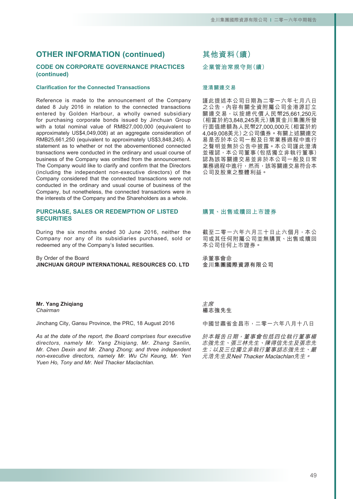# **CODE ON CORPORATE GOVERNANCE PRACTICES (continued)**

### **Clarification for the Connected Transactions**

Reference is made to the announcement of the Company dated 8 July 2016 in relation to the connected transactions entered by Golden Harbour, a wholly owned subsidiary for purchasing corporate bonds issued by Jinchuan Group with a total nominal value of RMB27,000,000 (equivalent to approximately US\$4,049,008) at an aggregate consideration of RMB25,661,250 (equivalent to approximately US\$3,848,245). A statement as to whether or not the abovementioned connected transactions were conducted in the ordinary and usual course of business of the Company was omitted from the announcement. The Company would like to clarify and confirm that the Directors (including the independent non-executive directors) of the Company considered that the connected transactions were not conducted in the ordinary and usual course of business of the Company, but nonetheless, the connected transactions were in the interests of the Company and the Shareholders as a whole.

### **PURCHASE, SALES OR REDEMPTION OF LISTED SECURITIES**

During the six months ended 30 June 2016, neither the Company nor any of its subsidiaries purchased, sold or redeemed any of the Company's listed securities.

By Order of the Board **JINCHUAN GROUP INTERNATIONAL RESOURCES CO. LTD**

#### **Mr. Yang Zhiqiang** *Chairman*

Jinchang City, Gansu Province, the PRC, 18 August 2016

*As at the date of the report, the Board comprises four executive directors, namely Mr. Yang Zhiqiang, Mr. Zhang Sanlin, Mr. Chen Dexin and Mr. Zhang Zhong; and three independent non-executive directors, namely Mr. Wu Chi Keung, Mr. Yen Yuen Ho, Tony and Mr. Neil Thacker Maclachlan.*

# **其他資料(續)**

# **企業管治常規守則(續)**

#### **澄清關連交易**

謹此提述本公司日期為二零一六年七月八日 之公告,內容有關全資附屬公司金港源訂立 關連交易,以按總代價人民幣25,661,250元 (相當於約3,848,245美元)購買金川集團所發 行面值總額為人民幣27,000,000元(相當於約 4,049,008美元)之公司債券。有關上述關連交 易是否於本公司一般及日常業務過程中進行 之聲明並無於公告中披露。本公司謹此澄清 並確認,本公司董事(包括獨立非執行董事) 認為該等關連交易並非於本公司一般及日常 業務過程中進行,然而,該等關連交易符合本 公司及股東之整體利益。

### **購買、出售或贖回上市證券**

截至二零一六年六月三十日止六個月,本公 司或其任何附屬公司並無購買、出售或贖回 本公司任何上市證券。

承董事會命 **金川集團國際資源有限公司**

主席 **楊志強先生**

中國甘肅省金昌市,二零一六年八月十八日

於本報告日期,董事會包括四位執行董事楊 志強先生、張三林先生、陳得信先生及張忠先 生;以及三位獨立非執行董事胡志強先生、嚴 元浩先生及Neil Thacker Maclachlan先生。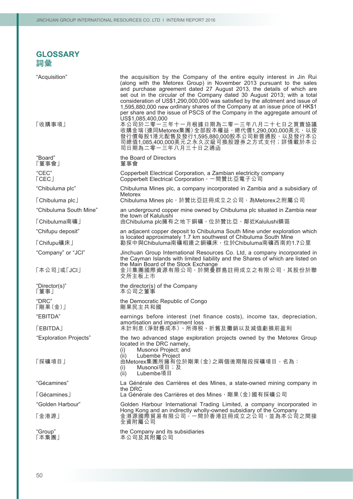# **GLOSSARY** 詞彙

| "Acquisition"                   | the acquisition by the Company of the entire equity interest in Jin Rui<br>(along with the Metorex Group) in November 2013 pursuant to the sales<br>and purchase agreement dated 27 August 2013, the details of which are<br>set out in the circular of the Company dated 30 August 2013; with a total<br>consideration of US\$1,290,000,000 was satisfied by the allotment and issue of<br>1,595,880,000 new ordinary shares of the Company at an issue price of HK\$1<br>per share and the issue of PSCS of the Company in the aggregate amount of |
|---------------------------------|------------------------------------------------------------------------------------------------------------------------------------------------------------------------------------------------------------------------------------------------------------------------------------------------------------------------------------------------------------------------------------------------------------------------------------------------------------------------------------------------------------------------------------------------------|
| 「收購事項」                          | US\$1,085,400,000<br>本公司於二零一三年十一月根據日期為二零一三年八月二十七日之買賣協議<br>收購金瑞(連同Metorex集團)全部股本權益,總代價1,290,000,000美元,以按<br>發行價每股1港元配售及發行1,595,880,000股本公司新普通股,以及發行本公<br>司總值1,085,400,000美元之永久次級可換股證券之方式支付;詳情載於本公<br>司日期為二零一三年八月三十日之通函                                                                                                                                                                                                                                                                                                                                |
| "Board"<br>「董事會」                | the Board of Directors<br>董事會                                                                                                                                                                                                                                                                                                                                                                                                                                                                                                                        |
| "CEC"<br>$\lceil$ CEC $\rfloor$ | Copperbelt Electrical Corporation, a Zambian electricity company<br>Copperbelt Electrical Corporation, 一間贊比亞電子公司                                                                                                                                                                                                                                                                                                                                                                                                                                     |
| "Chibuluma plc"                 | Chibuluma Mines plc, a company incorporated in Zambia and a subsidiary of                                                                                                                                                                                                                                                                                                                                                                                                                                                                            |
| <b>[Chibuluma plc]</b>          | <b>Metorex</b><br>Chibuluma Mines plc, 於贊比亞註冊成立之公司, 為Metorex之附屬公司                                                                                                                                                                                                                                                                                                                                                                                                                                                                                    |
| "Chibuluma South Mine"          | an underground copper mine owned by Chibuluma plc situated in Zambia near                                                                                                                                                                                                                                                                                                                                                                                                                                                                            |
| 「Chibuluma南礦                    | the town of Kalulushi<br>由Chibuluma plc擁有之地下銅礦,位於贊比亞,鄰近Kalulushi鎮區                                                                                                                                                                                                                                                                                                                                                                                                                                                                                   |
| "Chifupu deposit"               | an adjacent copper deposit to Chibuluma South Mine under exploration which<br>is located approximately 1.7 km southwest of Chibuluma South Mine                                                                                                                                                                                                                                                                                                                                                                                                      |
| 「Chifupu礦床」                     | 勘探中與Chibuluma南礦相連之銅礦床,位於Chibuluma南礦西南約1.7公里                                                                                                                                                                                                                                                                                                                                                                                                                                                                                                          |
| "Company" or "JCI"              | Jinchuan Group International Resources Co. Ltd, a company incorporated in<br>the Cayman Islands with limited liability and the Shares of which are listed on<br>the Main Board of the Stock Exchange                                                                                                                                                                                                                                                                                                                                                 |
| 「本公司」或「JCI」                     | 金川集團國際資源有限公司,於開曼群島註冊成立之有限公司,其股份於聯<br>交所主板上市                                                                                                                                                                                                                                                                                                                                                                                                                                                                                                          |
| "Director(s)"<br>「董事」           | the director(s) of the Company<br>本公司之董事                                                                                                                                                                                                                                                                                                                                                                                                                                                                                                             |
| "DRC"<br>「剛果(金)」                | the Democratic Republic of Congo<br>剛果民主共和國                                                                                                                                                                                                                                                                                                                                                                                                                                                                                                          |
| "EBITDA"                        | earnings before interest (net finance costs), income tax, depreciation,<br>amortisation and impairment loss                                                                                                                                                                                                                                                                                                                                                                                                                                          |
| <b>[EBITDA]</b>                 | 未計利息(淨財務成本)、所得税、折舊及攤銷以及減值虧損前盈利                                                                                                                                                                                                                                                                                                                                                                                                                                                                                                                       |
| "Exploration Projects"          | the two advanced stage exploration projects owned by the Metorex Group<br>located in the DRC namely,<br>Musonoi Project; and<br>(i)                                                                                                                                                                                                                                                                                                                                                                                                                  |
| 「探礦項目」                          | Lubembe Project<br>(ii)<br>由Metorex集團所擁有位於剛果(金)之兩個後期階段探礦項目,名為:<br>Musonoi項目;及<br>(i)<br>Lubembe項目<br>(ii)                                                                                                                                                                                                                                                                                                                                                                                                                                            |
| "Gécamines"                     | La Générale des Carrières et des Mines, a state-owned mining company in                                                                                                                                                                                                                                                                                                                                                                                                                                                                              |
| <b>Gécamines</b>                | the DRC<br>La Générale des Carrières et des Mines,剛果 (金) 國有採礦公司                                                                                                                                                                                                                                                                                                                                                                                                                                                                                      |
| "Golden Harbour"                | Golden Harbour International Trading Limited, a company incorporated in                                                                                                                                                                                                                                                                                                                                                                                                                                                                              |
| 「金港源」                           | Hong Kong and an indirectly wholly-owned subsidiary of the Company<br>金港源國際貿易有限公司 <sup>;</sup> 一間於香港註冊成立之公司 <sup>,</sup> 並為本公司之間接<br>全資附屬公司                                                                                                                                                                                                                                                                                                                                                                                                          |
| "Group"<br>「本集團」                | the Company and its subsidiaries<br>本公司及其附屬公司                                                                                                                                                                                                                                                                                                                                                                                                                                                                                                        |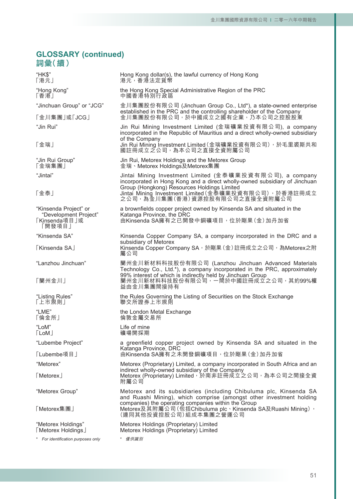# **GLOSSARY (continued)** 詞彙(續)

| "HK\$"<br>「港元」                                                            | Hong Kong dollar(s), the lawful currency of Hong Kong<br>港元,香港法定貨幣                                                                                                                                                                    |
|---------------------------------------------------------------------------|---------------------------------------------------------------------------------------------------------------------------------------------------------------------------------------------------------------------------------------|
| "Hong Kong"<br>「香港」                                                       | the Hong Kong Special Administrative Region of the PRC<br>中國香港特別行政區                                                                                                                                                                   |
| "Jinchuan Group" or "JCG"                                                 | 金川集團股份有限公司 (Jinchuan Group Co., Ltd*), a state-owned enterprise<br>established in the PRC and the controlling shareholder of the Company                                                                                              |
| 「金川集團」或「JCG」                                                              | 金川集團股份有限公司 <sup>,</sup> 於中國成立之國有企業 <sup>,</sup> 乃本公司之控股股東                                                                                                                                                                             |
| "Jin Rui"                                                                 | Jin Rui Mining Investment Limited (金瑞礦業投資有限公司), a company<br>incorporated in the Republic of Mauritius and a direct wholly-owned subsidiary<br>of the Company                                                                         |
| 「金瑞」                                                                      | Jin Rui Mining Investment Limited (金瑞礦業投資有限公司), 於毛里裘斯共和<br>國註冊成立之公司,為本公司之直接全資附屬公司                                                                                                                                                     |
| "Jin Rui Group"<br>「金瑞集團」                                                 | Jin Rui, Metorex Holdings and the Metorex Group<br>金瑞、Metorex Holdings及Metorex集團                                                                                                                                                      |
| "Jintai"                                                                  | Jintai Mining Investment Limited (金泰礦業投資有限公司), a company<br>incorporated in Hong Kong and a direct wholly-owned subsidiary of Jinchuan                                                                                                |
| 「金泰」                                                                      | Group (Hongkong) Resources Holdings Limited<br>Jintai Mining Investment Limited (金泰礦業投資有限公司), 於香港註冊成立<br>之公司,為金川集團(香港)資源控股有限公司之直接全資附屬公司                                                                                               |
| "Kinsenda Project" or<br>"Development Project"<br>「Kinsenda項目」或<br>「開發項目」 | a brownfields copper project owned by Kinsenda SA and situated in the<br>Katanga Province, the DRC<br>由Kinsenda SA擁有之已開發中銅礦項目, 位於剛果(金) 加丹加省                                                                                           |
| "Kinsenda SA"                                                             | Kinsenda Copper Company SA, a company incorporated in the DRC and a                                                                                                                                                                   |
| <b>FKinsenda SA</b>                                                       | subsidiary of Metorex<br>Kinsenda Copper Company SA,於剛果 (金) 註冊成立之公司,為Metorex之附<br>屬公司                                                                                                                                                 |
| "Lanzhou Jinchuan"<br>「蘭州金川」                                              | 蘭州金川新材料科技股份有限公司 (Lanzhou Jinchuan Advanced Materials<br>Technology Co., Ltd.*), a company incorporated in the PRC, approximately<br>99% interest of which is indirectly held by Jinchuan Group<br>蘭州金川新材料科技股份有限公司,一間於中國註冊成立之公司,其約99%權 |
|                                                                           | 益由金川集團間接持有                                                                                                                                                                                                                            |
| "Listing Rules"<br>「上市規則」                                                 | the Rules Governing the Listing of Securities on the Stock Exchange<br>聯交所證券上市規則                                                                                                                                                      |
| "LME"<br>「倫金所」                                                            | the London Metal Exchange<br>倫敦金屬交易所                                                                                                                                                                                                  |
| "LoM"<br>$\lceil$ LoM $\rfloor$                                           | Life of mine<br>礦場開採期                                                                                                                                                                                                                 |
| "Lubembe Project"                                                         | a greenfield copper project owned by Kinsenda SA and situated in the<br>Katanga Province, DRC                                                                                                                                         |
| 「Lubembe項目」                                                               | 由Kinsenda SA擁有之未開發銅礦項目,位於剛果(金)加丹加省                                                                                                                                                                                                    |
| "Metorex"                                                                 | Metorex (Proprietary) Limited, a company incorporated in South Africa and an                                                                                                                                                          |
| [Metorex]                                                                 | indirect wholly-owned subsidiary of the Company<br>Metorex (Proprietary) Limited, 於南非註冊成立之公司, 為本公司之間接全資<br>附屬公司                                                                                                                       |
| "Metorex Group"                                                           | Metorex and its subsidiaries (including Chibuluma plc, Kinsenda SA<br>and Ruashi Mining), which comprise (amongst other investment holding                                                                                            |
| 「Metorex集團」                                                               | companies) the operating companies within the Group<br>Metorex及其附屬公司(包括Chibuluma plc、Kinsenda SA及Ruashi Mining),<br>(連同其他投資控股公司)組成本集團之營運公司                                                                                            |
| "Metorex Holdings"<br>[Metorex Holdings]                                  | Metorex Holdings (Proprietary) Limited<br>Metorex Holdings (Proprietary) Limited                                                                                                                                                      |
| * For identification purposes only                                        | * 僅供識別                                                                                                                                                                                                                                |